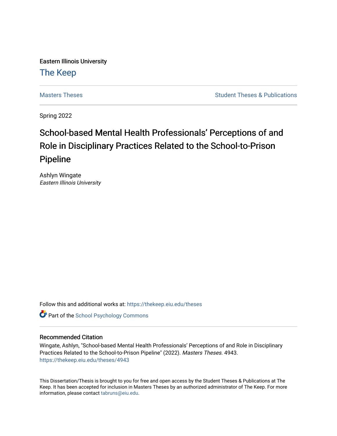Eastern Illinois University

## [The Keep](https://thekeep.eiu.edu/)

[Masters Theses](https://thekeep.eiu.edu/theses) **Student Theses & Publications** Student Theses & Publications

Spring 2022

# School-based Mental Health Professionals' Perceptions of and Role in Disciplinary Practices Related to the School-to-Prison Pipeline

Ashlyn Wingate Eastern Illinois University

Follow this and additional works at: [https://thekeep.eiu.edu/theses](https://thekeep.eiu.edu/theses?utm_source=thekeep.eiu.edu%2Ftheses%2F4943&utm_medium=PDF&utm_campaign=PDFCoverPages)

**Part of the School Psychology Commons** 

#### Recommended Citation

Wingate, Ashlyn, "School-based Mental Health Professionals' Perceptions of and Role in Disciplinary Practices Related to the School-to-Prison Pipeline" (2022). Masters Theses. 4943. [https://thekeep.eiu.edu/theses/4943](https://thekeep.eiu.edu/theses/4943?utm_source=thekeep.eiu.edu%2Ftheses%2F4943&utm_medium=PDF&utm_campaign=PDFCoverPages) 

This Dissertation/Thesis is brought to you for free and open access by the Student Theses & Publications at The Keep. It has been accepted for inclusion in Masters Theses by an authorized administrator of The Keep. For more information, please contact [tabruns@eiu.edu](mailto:tabruns@eiu.edu).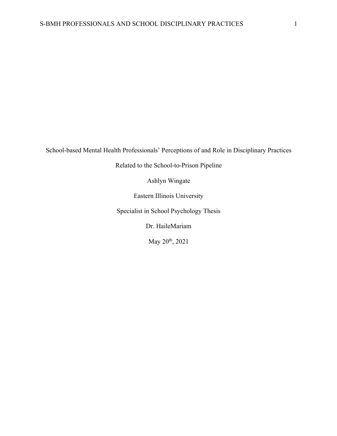School-based Mental Health Professionals' Perceptions of and Role in Disciplinary Practices

Related to the School-to-Prison Pipeline

Ashlyn Wingate

Eastern Illinois University

Specialist in School Psychology Thesis

Dr. HaileMariam

May 20th, 2021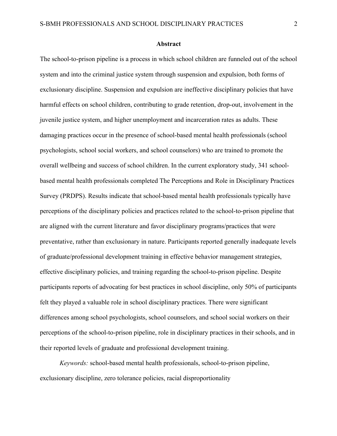#### **Abstract**

The school-to-prison pipeline is a process in which school children are funneled out of the school system and into the criminal justice system through suspension and expulsion, both forms of exclusionary discipline. Suspension and expulsion are ineffective disciplinary policies that have harmful effects on school children, contributing to grade retention, drop-out, involvement in the juvenile justice system, and higher unemployment and incarceration rates as adults. These damaging practices occur in the presence of school-based mental health professionals (school psychologists, school social workers, and school counselors) who are trained to promote the overall wellbeing and success of school children. In the current exploratory study, 341 schoolbased mental health professionals completed The Perceptions and Role in Disciplinary Practices Survey (PRDPS). Results indicate that school-based mental health professionals typically have perceptions of the disciplinary policies and practices related to the school-to-prison pipeline that are aligned with the current literature and favor disciplinary programs/practices that were preventative, rather than exclusionary in nature. Participants reported generally inadequate levels of graduate/professional development training in effective behavior management strategies, effective disciplinary policies, and training regarding the school-to-prison pipeline. Despite participants reports of advocating for best practices in school discipline, only 50% of participants felt they played a valuable role in school disciplinary practices. There were significant differences among school psychologists, school counselors, and school social workers on their perceptions of the school-to-prison pipeline, role in disciplinary practices in their schools, and in their reported levels of graduate and professional development training.

*Keywords:* school-based mental health professionals, school-to-prison pipeline, exclusionary discipline, zero tolerance policies, racial disproportionality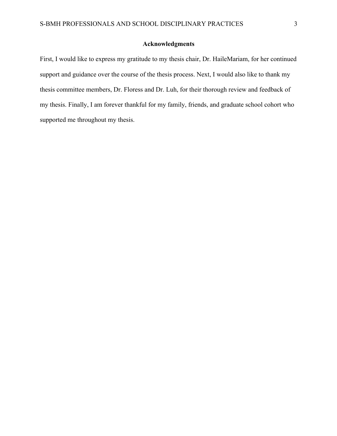#### **Acknowledgments**

First, I would like to express my gratitude to my thesis chair, Dr. HaileMariam, for her continued support and guidance over the course of the thesis process. Next, I would also like to thank my thesis committee members, Dr. Floress and Dr. Luh, for their thorough review and feedback of my thesis. Finally, I am forever thankful for my family, friends, and graduate school cohort who supported me throughout my thesis.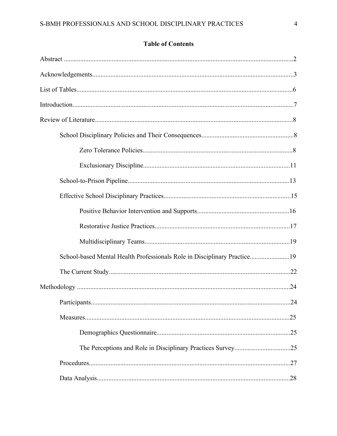### **Table of Contents**

| School-based Mental Health Professionals Role in Disciplinary Practice19 |  |
|--------------------------------------------------------------------------|--|
|                                                                          |  |
|                                                                          |  |
|                                                                          |  |
|                                                                          |  |
|                                                                          |  |
|                                                                          |  |
|                                                                          |  |
|                                                                          |  |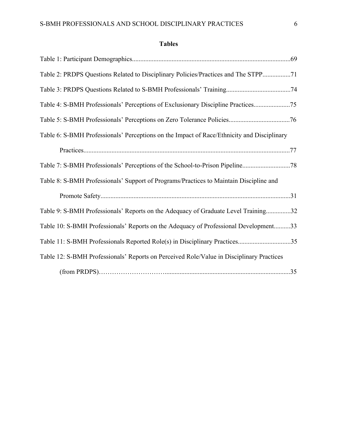| <b>Tables</b> |  |
|---------------|--|
|---------------|--|

| Table 2: PRDPS Questions Related to Disciplinary Policies/Practices and The STPP71         |
|--------------------------------------------------------------------------------------------|
|                                                                                            |
| Table 4: S-BMH Professionals' Perceptions of Exclusionary Discipline Practices75           |
|                                                                                            |
| Table 6: S-BMH Professionals' Perceptions on the Impact of Race/Ethnicity and Disciplinary |
|                                                                                            |
|                                                                                            |
| Table 8: S-BMH Professionals' Support of Programs/Practices to Maintain Discipline and     |
|                                                                                            |
| Table 9: S-BMH Professionals' Reports on the Adequacy of Graduate Level Training32         |
| Table 10: S-BMH Professionals' Reports on the Adequacy of Professional Development33       |
| Table 11: S-BMH Professionals Reported Role(s) in Disciplinary Practices35                 |
| Table 12: S-BMH Professionals' Reports on Perceived Role/Value in Disciplinary Practices   |
|                                                                                            |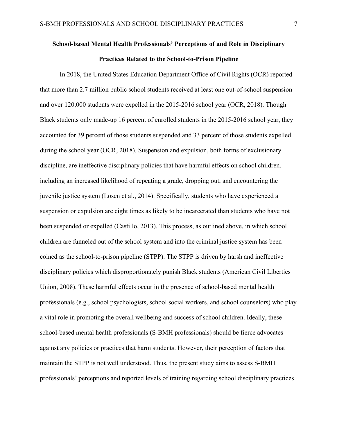## **School-based Mental Health Professionals' Perceptions of and Role in Disciplinary Practices Related to the School-to-Prison Pipeline**

In 2018, the United States Education Department Office of Civil Rights (OCR) reported that more than 2.7 million public school students received at least one out-of-school suspension and over 120,000 students were expelled in the 2015-2016 school year (OCR, 2018). Though Black students only made-up 16 percent of enrolled students in the 2015-2016 school year, they accounted for 39 percent of those students suspended and 33 percent of those students expelled during the school year (OCR, 2018). Suspension and expulsion, both forms of exclusionary discipline, are ineffective disciplinary policies that have harmful effects on school children, including an increased likelihood of repeating a grade, dropping out, and encountering the juvenile justice system (Losen et al., 2014). Specifically, students who have experienced a suspension or expulsion are eight times as likely to be incarcerated than students who have not been suspended or expelled (Castillo, 2013). This process, as outlined above, in which school children are funneled out of the school system and into the criminal justice system has been coined as the school-to-prison pipeline (STPP). The STPP is driven by harsh and ineffective disciplinary policies which disproportionately punish Black students (American Civil Liberties Union, 2008). These harmful effects occur in the presence of school-based mental health professionals (e.g., school psychologists, school social workers, and school counselors) who play a vital role in promoting the overall wellbeing and success of school children. Ideally, these school-based mental health professionals (S-BMH professionals) should be fierce advocates against any policies or practices that harm students. However, their perception of factors that maintain the STPP is not well understood. Thus, the present study aims to assess S-BMH professionals' perceptions and reported levels of training regarding school disciplinary practices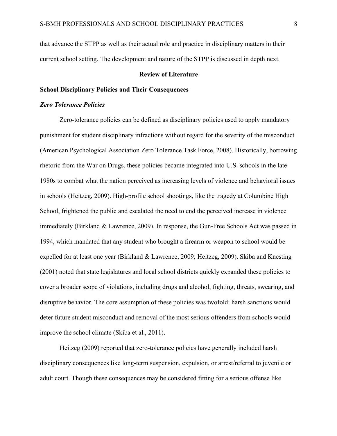that advance the STPP as well as their actual role and practice in disciplinary matters in their current school setting. The development and nature of the STPP is discussed in depth next.

#### **Review of Literature**

#### **School Disciplinary Policies and Their Consequences**

#### *Zero Tolerance Policies*

Zero-tolerance policies can be defined as disciplinary policies used to apply mandatory punishment for student disciplinary infractions without regard for the severity of the misconduct (American Psychological Association Zero Tolerance Task Force, 2008). Historically, borrowing rhetoric from the War on Drugs, these policies became integrated into U.S. schools in the late 1980s to combat what the nation perceived as increasing levels of violence and behavioral issues in schools (Heitzeg, 2009). High-profile school shootings, like the tragedy at Columbine High School, frightened the public and escalated the need to end the perceived increase in violence immediately (Birkland & Lawrence, 2009). In response, the Gun-Free Schools Act was passed in 1994, which mandated that any student who brought a firearm or weapon to school would be expelled for at least one year (Birkland & Lawrence, 2009; Heitzeg, 2009). Skiba and Knesting (2001) noted that state legislatures and local school districts quickly expanded these policies to cover a broader scope of violations, including drugs and alcohol, fighting, threats, swearing, and disruptive behavior. The core assumption of these policies was twofold: harsh sanctions would deter future student misconduct and removal of the most serious offenders from schools would improve the school climate (Skiba et al., 2011).

Heitzeg (2009) reported that zero-tolerance policies have generally included harsh disciplinary consequences like long-term suspension, expulsion, or arrest/referral to juvenile or adult court. Though these consequences may be considered fitting for a serious offense like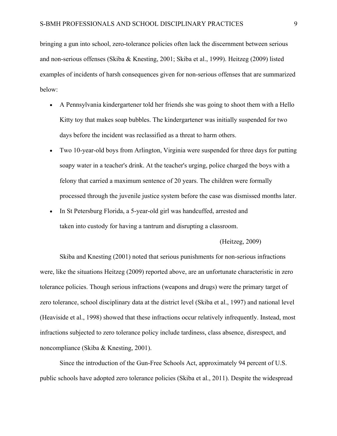bringing a gun into school, zero-tolerance policies often lack the discernment between serious and non-serious offenses (Skiba & Knesting, 2001; Skiba et al., 1999). Heitzeg (2009) listed examples of incidents of harsh consequences given for non-serious offenses that are summarized below:

- A Pennsylvania kindergartener told her friends she was going to shoot them with a Hello Kitty toy that makes soap bubbles. The kindergartener was initially suspended for two days before the incident was reclassified as a threat to harm others.
- Two 10-year-old boys from Arlington, Virginia were suspended for three days for putting soapy water in a teacher's drink. At the teacher's urging, police charged the boys with a felony that carried a maximum sentence of 20 years. The children were formally processed through the juvenile justice system before the case was dismissed months later.
- In St Petersburg Florida, a 5-year-old girl was handcuffed, arrested and taken into custody for having a tantrum and disrupting a classroom.

#### (Heitzeg, 2009)

Skiba and Knesting (2001) noted that serious punishments for non-serious infractions were, like the situations Heitzeg (2009) reported above, are an unfortunate characteristic in zero tolerance policies. Though serious infractions (weapons and drugs) were the primary target of zero tolerance, school disciplinary data at the district level (Skiba et al., 1997) and national level (Heaviside et al., 1998) showed that these infractions occur relatively infrequently. Instead, most infractions subjected to zero tolerance policy include tardiness, class absence, disrespect, and noncompliance (Skiba & Knesting, 2001).

Since the introduction of the Gun-Free Schools Act, approximately 94 percent of U.S. public schools have adopted zero tolerance policies (Skiba et al., 2011). Despite the widespread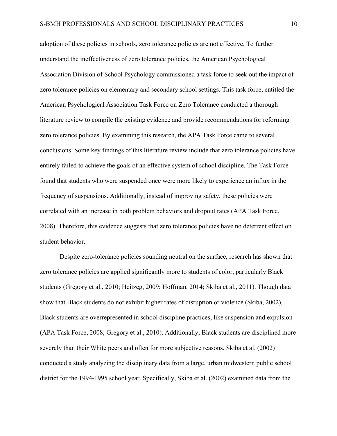adoption of these policies in schools, zero tolerance policies are not effective. To further understand the ineffectiveness of zero tolerance policies, the American Psychological Association Division of School Psychology commissioned a task force to seek out the impact of zero tolerance policies on elementary and secondary school settings. This task force, entitled the American Psychological Association Task Force on Zero Tolerance conducted a thorough literature review to compile the existing evidence and provide recommendations for reforming zero tolerance policies. By examining this research, the APA Task Force came to several conclusions. Some key findings of this literature review include that zero tolerance policies have entirely failed to achieve the goals of an effective system of school discipline. The Task Force found that students who were suspended once were more likely to experience an influx in the frequency of suspensions. Additionally, instead of improving safety, these policies were correlated with an increase in both problem behaviors and dropout rates (APA Task Force, 2008). Therefore, this evidence suggests that zero tolerance policies have no deterrent effect on student behavior.

Despite zero-tolerance policies sounding neutral on the surface, research has shown that zero tolerance policies are applied significantly more to students of color, particularly Black students (Gregory et al., 2010; Heitzeg, 2009; Hoffman, 2014; Skiba et al., 2011). Though data show that Black students do not exhibit higher rates of disruption or violence (Skiba, 2002), Black students are overrepresented in school discipline practices, like suspension and expulsion (APA Task Force, 2008; Gregory et al., 2010). Additionally, Black students are disciplined more severely than their White peers and often for more subjective reasons. Skiba et al. (2002) conducted a study analyzing the disciplinary data from a large, urban midwestern public school district for the 1994-1995 school year. Specifically, Skiba et al. (2002) examined data from the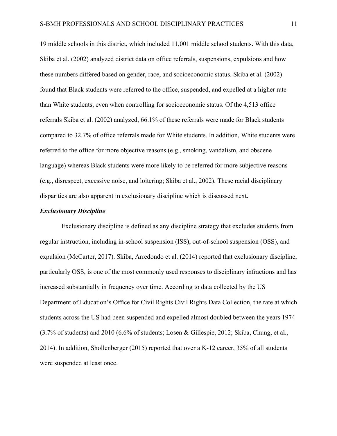19 middle schools in this district, which included 11,001 middle school students. With this data, Skiba et al. (2002) analyzed district data on office referrals, suspensions, expulsions and how these numbers differed based on gender, race, and socioeconomic status. Skiba et al. (2002) found that Black students were referred to the office, suspended, and expelled at a higher rate than White students, even when controlling for socioeconomic status. Of the 4,513 office referrals Skiba et al. (2002) analyzed, 66.1% of these referrals were made for Black students compared to 32.7% of office referrals made for White students. In addition, White students were referred to the office for more objective reasons (e.g., smoking, vandalism, and obscene language) whereas Black students were more likely to be referred for more subjective reasons (e.g., disrespect, excessive noise, and loitering; Skiba et al., 2002). These racial disciplinary disparities are also apparent in exclusionary discipline which is discussed next.

#### *Exclusionary Discipline*

Exclusionary discipline is defined as any discipline strategy that excludes students from regular instruction, including in-school suspension (ISS), out-of-school suspension (OSS), and expulsion (McCarter, 2017). Skiba, Arredondo et al. (2014) reported that exclusionary discipline, particularly OSS, is one of the most commonly used responses to disciplinary infractions and has increased substantially in frequency over time. According to data collected by the US Department of Education's Office for Civil Rights Civil Rights Data Collection, the rate at which students across the US had been suspended and expelled almost doubled between the years 1974 (3.7% of students) and 2010 (6.6% of students; Losen & Gillespie, 2012; Skiba, Chung, et al., 2014). In addition, Shollenberger (2015) reported that over a K-12 career, 35% of all students were suspended at least once.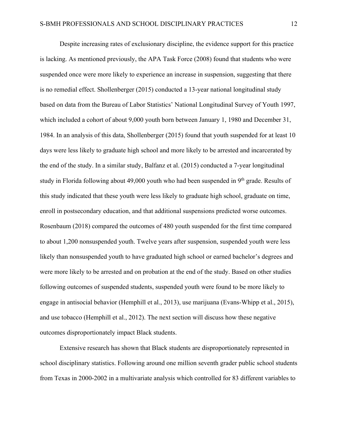Despite increasing rates of exclusionary discipline, the evidence support for this practice is lacking. As mentioned previously, the APA Task Force (2008) found that students who were suspended once were more likely to experience an increase in suspension, suggesting that there is no remedial effect. Shollenberger (2015) conducted a 13-year national longitudinal study based on data from the Bureau of Labor Statistics' National Longitudinal Survey of Youth 1997, which included a cohort of about 9,000 youth born between January 1, 1980 and December 31, 1984. In an analysis of this data, Shollenberger (2015) found that youth suspended for at least 10 days were less likely to graduate high school and more likely to be arrested and incarcerated by the end of the study. In a similar study, Balfanz et al. (2015) conducted a 7-year longitudinal study in Florida following about 49,000 youth who had been suspended in 9<sup>th</sup> grade. Results of this study indicated that these youth were less likely to graduate high school, graduate on time, enroll in postsecondary education, and that additional suspensions predicted worse outcomes. Rosenbaum (2018) compared the outcomes of 480 youth suspended for the first time compared to about 1,200 nonsuspended youth. Twelve years after suspension, suspended youth were less likely than nonsuspended youth to have graduated high school or earned bachelor's degrees and were more likely to be arrested and on probation at the end of the study. Based on other studies following outcomes of suspended students, suspended youth were found to be more likely to engage in antisocial behavior (Hemphill et al., 2013), use marijuana (Evans-Whipp et al., 2015), and use tobacco (Hemphill et al., 2012). The next section will discuss how these negative outcomes disproportionately impact Black students.

Extensive research has shown that Black students are disproportionately represented in school disciplinary statistics. Following around one million seventh grader public school students from Texas in 2000-2002 in a multivariate analysis which controlled for 83 different variables to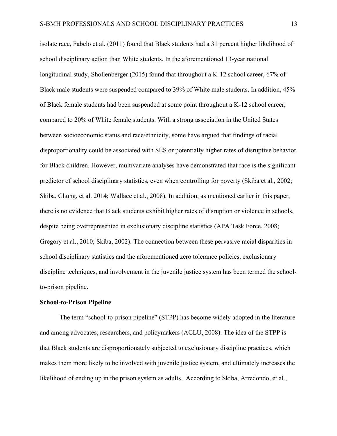isolate race, Fabelo et al. (2011) found that Black students had a 31 percent higher likelihood of school disciplinary action than White students. In the aforementioned 13-year national longitudinal study, Shollenberger (2015) found that throughout a K-12 school career, 67% of Black male students were suspended compared to 39% of White male students. In addition, 45% of Black female students had been suspended at some point throughout a K-12 school career, compared to 20% of White female students. With a strong association in the United States between socioeconomic status and race/ethnicity, some have argued that findings of racial disproportionality could be associated with SES or potentially higher rates of disruptive behavior for Black children. However, multivariate analyses have demonstrated that race is the significant predictor of school disciplinary statistics, even when controlling for poverty (Skiba et al., 2002; Skiba, Chung, et al. 2014; Wallace et al., 2008). In addition, as mentioned earlier in this paper, there is no evidence that Black students exhibit higher rates of disruption or violence in schools, despite being overrepresented in exclusionary discipline statistics (APA Task Force, 2008; Gregory et al., 2010; Skiba, 2002). The connection between these pervasive racial disparities in school disciplinary statistics and the aforementioned zero tolerance policies, exclusionary discipline techniques, and involvement in the juvenile justice system has been termed the schoolto-prison pipeline.

#### **School-to-Prison Pipeline**

The term "school-to-prison pipeline" (STPP) has become widely adopted in the literature and among advocates, researchers, and policymakers (ACLU, 2008). The idea of the STPP is that Black students are disproportionately subjected to exclusionary discipline practices, which makes them more likely to be involved with juvenile justice system, and ultimately increases the likelihood of ending up in the prison system as adults. According to Skiba, Arredondo, et al.,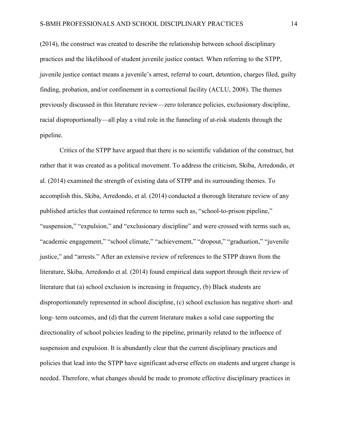(2014), the construct was created to describe the relationship between school disciplinary practices and the likelihood of student juvenile justice contact. When referring to the STPP, juvenile justice contact means a juvenile's arrest, referral to court, detention, charges filed, guilty finding, probation, and/or confinement in a correctional facility (ACLU, 2008). The themes previously discussed in this literature review—zero tolerance policies, exclusionary discipline, racial disproportionally—all play a vital role in the funneling of at-risk students through the pipeline.

Critics of the STPP have argued that there is no scientific validation of the construct, but rather that it was created as a political movement. To address the criticism, Skiba, Arredondo, et al. (2014) examined the strength of existing data of STPP and its surrounding themes. To accomplish this, Skiba, Arredondo, et al. (2014) conducted a thorough literature review of any published articles that contained reference to terms such as, "school-to-prison pipeline," "suspension," "expulsion," and "exclusionary discipline" and were crossed with terms such as, "academic engagement," "school climate," "achievement," "dropout," "graduation," "juvenile justice," and "arrests." After an extensive review of references to the STPP drawn from the literature, Skiba, Arredondo et al. (2014) found empirical data support through their review of literature that (a) school exclusion is increasing in frequency, (b) Black students are disproportionately represented in school discipline, (c) school exclusion has negative short- and long- term outcomes, and (d) that the current literature makes a solid case supporting the directionality of school policies leading to the pipeline, primarily related to the influence of suspension and expulsion. It is abundantly clear that the current disciplinary practices and policies that lead into the STPP have significant adverse effects on students and urgent change is needed. Therefore, what changes should be made to promote effective disciplinary practices in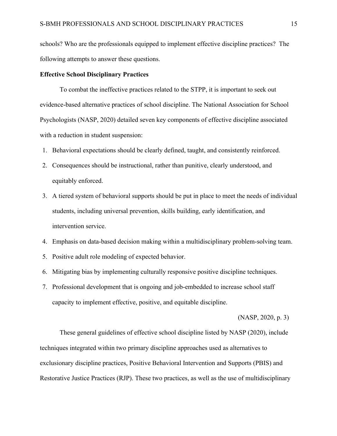schools? Who are the professionals equipped to implement effective discipline practices? The following attempts to answer these questions.

#### **Effective School Disciplinary Practices**

To combat the ineffective practices related to the STPP, it is important to seek out evidence-based alternative practices of school discipline. The National Association for School Psychologists (NASP, 2020) detailed seven key components of effective discipline associated with a reduction in student suspension:

- 1. Behavioral expectations should be clearly defined, taught, and consistently reinforced.
- 2. Consequences should be instructional, rather than punitive, clearly understood, and equitably enforced.
- 3. A tiered system of behavioral supports should be put in place to meet the needs of individual students, including universal prevention, skills building, early identification, and intervention service.
- 4. Emphasis on data-based decision making within a multidisciplinary problem-solving team.
- 5. Positive adult role modeling of expected behavior.
- 6. Mitigating bias by implementing culturally responsive positive discipline techniques.
- 7. Professional development that is ongoing and job-embedded to increase school staff capacity to implement effective, positive, and equitable discipline.

(NASP, 2020, p. 3)

These general guidelines of effective school discipline listed by NASP (2020), include techniques integrated within two primary discipline approaches used as alternatives to exclusionary discipline practices, Positive Behavioral Intervention and Supports (PBIS) and Restorative Justice Practices (RJP). These two practices, as well as the use of multidisciplinary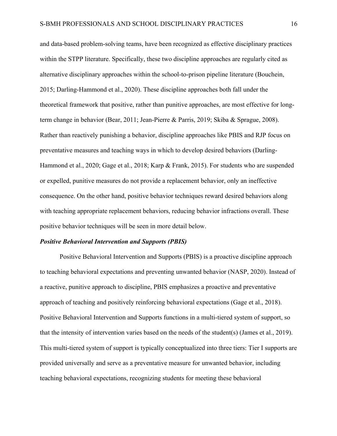and data-based problem-solving teams, have been recognized as effective disciplinary practices within the STPP literature. Specifically, these two discipline approaches are regularly cited as alternative disciplinary approaches within the school-to-prison pipeline literature (Bouchein, 2015; Darling-Hammond et al., 2020). These discipline approaches both fall under the theoretical framework that positive, rather than punitive approaches, are most effective for longterm change in behavior (Bear, 2011; Jean-Pierre & Parris, 2019; Skiba & Sprague, 2008). Rather than reactively punishing a behavior, discipline approaches like PBIS and RJP focus on preventative measures and teaching ways in which to develop desired behaviors (Darling-Hammond et al., 2020; Gage et al., 2018; Karp & Frank, 2015). For students who are suspended or expelled, punitive measures do not provide a replacement behavior, only an ineffective consequence. On the other hand, positive behavior techniques reward desired behaviors along with teaching appropriate replacement behaviors, reducing behavior infractions overall. These positive behavior techniques will be seen in more detail below.

#### *Positive Behavioral Intervention and Supports (PBIS)*

Positive Behavioral Intervention and Supports (PBIS) is a proactive discipline approach to teaching behavioral expectations and preventing unwanted behavior (NASP, 2020). Instead of a reactive, punitive approach to discipline, PBIS emphasizes a proactive and preventative approach of teaching and positively reinforcing behavioral expectations (Gage et al., 2018). Positive Behavioral Intervention and Supports functions in a multi-tiered system of support, so that the intensity of intervention varies based on the needs of the student(s) (James et al., 2019). This multi-tiered system of support is typically conceptualized into three tiers: Tier I supports are provided universally and serve as a preventative measure for unwanted behavior, including teaching behavioral expectations, recognizing students for meeting these behavioral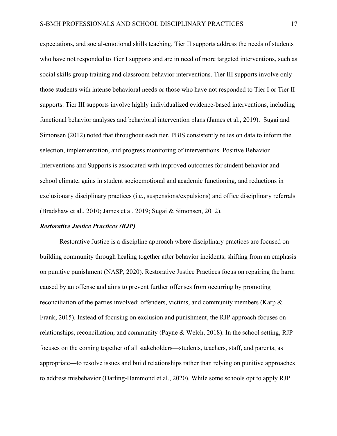expectations, and social-emotional skills teaching. Tier II supports address the needs of students who have not responded to Tier I supports and are in need of more targeted interventions, such as social skills group training and classroom behavior interventions. Tier III supports involve only those students with intense behavioral needs or those who have not responded to Tier I or Tier II supports. Tier III supports involve highly individualized evidence-based interventions, including functional behavior analyses and behavioral intervention plans (James et al., 2019). Sugai and Simonsen (2012) noted that throughout each tier, PBIS consistently relies on data to inform the selection, implementation, and progress monitoring of interventions. Positive Behavior Interventions and Supports is associated with improved outcomes for student behavior and school climate, gains in student socioemotional and academic functioning, and reductions in exclusionary disciplinary practices (i.e., suspensions/expulsions) and office disciplinary referrals (Bradshaw et al., 2010; James et al. 2019; Sugai & Simonsen, 2012).

#### *Restorative Justice Practices (RJP)*

Restorative Justice is a discipline approach where disciplinary practices are focused on building community through healing together after behavior incidents, shifting from an emphasis on punitive punishment (NASP, 2020). Restorative Justice Practices focus on repairing the harm caused by an offense and aims to prevent further offenses from occurring by promoting reconciliation of the parties involved: offenders, victims, and community members (Karp & Frank, 2015). Instead of focusing on exclusion and punishment, the RJP approach focuses on relationships, reconciliation, and community (Payne & Welch, 2018). In the school setting, RJP focuses on the coming together of all stakeholders—students, teachers, staff, and parents, as appropriate—to resolve issues and build relationships rather than relying on punitive approaches to address misbehavior (Darling-Hammond et al., 2020). While some schools opt to apply RJP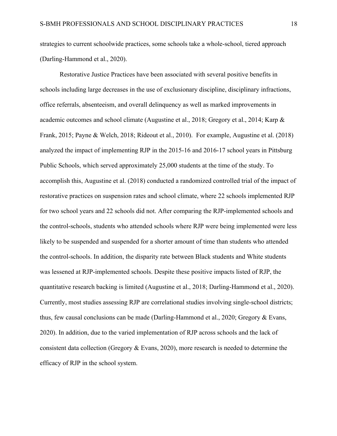strategies to current schoolwide practices, some schools take a whole-school, tiered approach (Darling-Hammond et al., 2020).

Restorative Justice Practices have been associated with several positive benefits in schools including large decreases in the use of exclusionary discipline, disciplinary infractions, office referrals, absenteeism, and overall delinquency as well as marked improvements in academic outcomes and school climate (Augustine et al., 2018; Gregory et al., 2014; Karp & Frank, 2015; Payne & Welch, 2018; Rideout et al., 2010). For example, Augustine et al. (2018) analyzed the impact of implementing RJP in the 2015-16 and 2016-17 school years in Pittsburg Public Schools, which served approximately 25,000 students at the time of the study. To accomplish this, Augustine et al. (2018) conducted a randomized controlled trial of the impact of restorative practices on suspension rates and school climate, where 22 schools implemented RJP for two school years and 22 schools did not. After comparing the RJP-implemented schools and the control-schools, students who attended schools where RJP were being implemented were less likely to be suspended and suspended for a shorter amount of time than students who attended the control-schools. In addition, the disparity rate between Black students and White students was lessened at RJP-implemented schools. Despite these positive impacts listed of RJP, the quantitative research backing is limited (Augustine et al., 2018; Darling-Hammond et al., 2020). Currently, most studies assessing RJP are correlational studies involving single-school districts; thus, few causal conclusions can be made (Darling-Hammond et al., 2020; Gregory & Evans, 2020). In addition, due to the varied implementation of RJP across schools and the lack of consistent data collection (Gregory & Evans, 2020), more research is needed to determine the efficacy of RJP in the school system.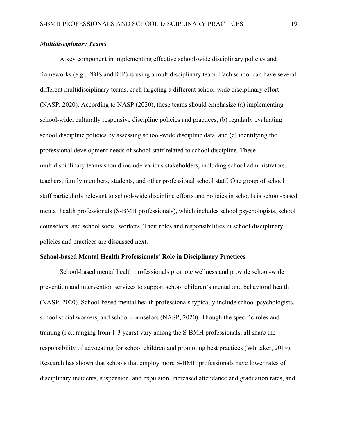#### *Multidisciplinary Teams*

A key component in implementing effective school-wide disciplinary policies and frameworks (e.g., PBIS and RJP) is using a multidisciplinary team. Each school can have several different multidisciplinary teams, each targeting a different school-wide disciplinary effort (NASP, 2020). According to NASP (2020), these teams should emphasize (a) implementing school-wide, culturally responsive discipline policies and practices, (b) regularly evaluating school discipline policies by assessing school-wide discipline data, and (c) identifying the professional development needs of school staff related to school discipline. These multidisciplinary teams should include various stakeholders, including school administrators, teachers, family members, students, and other professional school staff. One group of school staff particularly relevant to school-wide discipline efforts and policies in schools is school-based mental health professionals (S-BMH professionals), which includes school psychologists, school counselors, and school social workers. Their roles and responsibilities in school disciplinary policies and practices are discussed next.

#### **School-based Mental Health Professionals' Role in Disciplinary Practices**

School-based mental health professionals promote wellness and provide school-wide prevention and intervention services to support school children's mental and behavioral health (NASP, 2020). School-based mental health professionals typically include school psychologists, school social workers, and school counselors (NASP, 2020). Though the specific roles and training (i.e., ranging from 1-3 years) vary among the S-BMH professionals, all share the responsibility of advocating for school children and promoting best practices (Whitaker, 2019). Research has shown that schools that employ more S-BMH professionals have lower rates of disciplinary incidents, suspension, and expulsion, increased attendance and graduation rates, and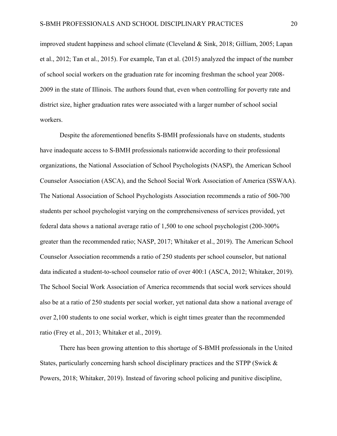improved student happiness and school climate (Cleveland & Sink, 2018; Gilliam, 2005; Lapan et al., 2012; Tan et al., 2015). For example, Tan et al. (2015) analyzed the impact of the number of school social workers on the graduation rate for incoming freshman the school year 2008- 2009 in the state of Illinois. The authors found that, even when controlling for poverty rate and district size, higher graduation rates were associated with a larger number of school social workers.

Despite the aforementioned benefits S-BMH professionals have on students, students have inadequate access to S-BMH professionals nationwide according to their professional organizations, the National Association of School Psychologists (NASP), the American School Counselor Association (ASCA), and the School Social Work Association of America (SSWAA). The National Association of School Psychologists Association recommends a ratio of 500-700 students per school psychologist varying on the comprehensiveness of services provided, yet federal data shows a national average ratio of 1,500 to one school psychologist (200-300% greater than the recommended ratio; NASP, 2017; Whitaker et al., 2019). The American School Counselor Association recommends a ratio of 250 students per school counselor, but national data indicated a student-to-school counselor ratio of over 400:1 (ASCA, 2012; Whitaker, 2019). The School Social Work Association of America recommends that social work services should also be at a ratio of 250 students per social worker, yet national data show a national average of over 2,100 students to one social worker, which is eight times greater than the recommended ratio (Frey et al., 2013; Whitaker et al., 2019).

There has been growing attention to this shortage of S-BMH professionals in the United States, particularly concerning harsh school disciplinary practices and the STPP (Swick & Powers, 2018; Whitaker, 2019). Instead of favoring school policing and punitive discipline,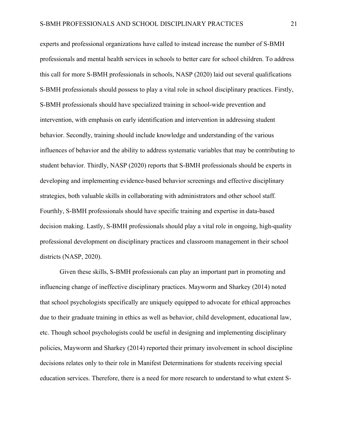experts and professional organizations have called to instead increase the number of S-BMH professionals and mental health services in schools to better care for school children. To address this call for more S-BMH professionals in schools, NASP (2020) laid out several qualifications S-BMH professionals should possess to play a vital role in school disciplinary practices. Firstly, S-BMH professionals should have specialized training in school-wide prevention and intervention, with emphasis on early identification and intervention in addressing student behavior. Secondly, training should include knowledge and understanding of the various influences of behavior and the ability to address systematic variables that may be contributing to student behavior. Thirdly, NASP (2020) reports that S-BMH professionals should be experts in developing and implementing evidence-based behavior screenings and effective disciplinary strategies, both valuable skills in collaborating with administrators and other school staff. Fourthly, S-BMH professionals should have specific training and expertise in data-based decision making. Lastly, S-BMH professionals should play a vital role in ongoing, high-quality professional development on disciplinary practices and classroom management in their school districts (NASP, 2020).

Given these skills, S-BMH professionals can play an important part in promoting and influencing change of ineffective disciplinary practices. Mayworm and Sharkey (2014) noted that school psychologists specifically are uniquely equipped to advocate for ethical approaches due to their graduate training in ethics as well as behavior, child development, educational law, etc. Though school psychologists could be useful in designing and implementing disciplinary policies, Mayworm and Sharkey (2014) reported their primary involvement in school discipline decisions relates only to their role in Manifest Determinations for students receiving special education services. Therefore, there is a need for more research to understand to what extent S-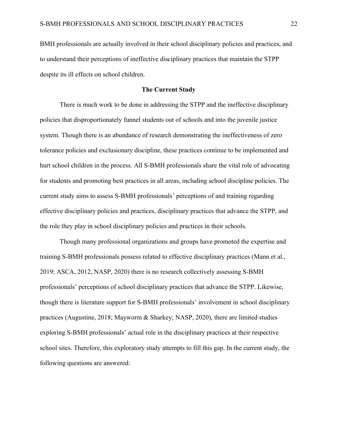BMH professionals are actually involved in their school disciplinary policies and practices, and to understand their perceptions of ineffective disciplinary practices that maintain the STPP despite its ill effects on school children.

#### **The Current Study**

There is much work to be done in addressing the STPP and the ineffective disciplinary policies that disproportionately funnel students out of schools and into the juvenile justice system. Though there is an abundance of research demonstrating the ineffectiveness of zero tolerance policies and exclusionary discipline, these practices continue to be implemented and hurt school children in the process. All S-BMH professionals share the vital role of advocating for students and promoting best practices in all areas, including school discipline policies. The current study aims to assess S-BMH professionals' perceptions of and training regarding effective disciplinary policies and practices, disciplinary practices that advance the STPP, and the role they play in school disciplinary policies and practices in their schools.

Though many professional organizations and groups have promoted the expertise and training S-BMH professionals possess related to effective disciplinary practices (Mann et al., 2019; ASCA, 2012, NASP, 2020) there is no research collectively assessing S-BMH professionals' perceptions of school disciplinary practices that advance the STPP. Likewise, though there is literature support for S-BMH professionals' involvement in school disciplinary practices (Augustine, 2018; Mayworm & Sharkey; NASP, 2020), there are limited studies exploring S-BMH professionals' actual role in the disciplinary practices at their respective school sites. Therefore, this exploratory study attempts to fill this gap. In the current study, the following questions are answered: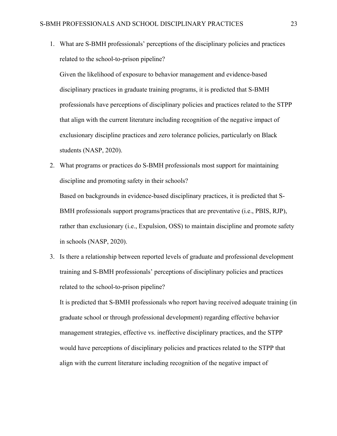1. What are S-BMH professionals' perceptions of the disciplinary policies and practices related to the school-to-prison pipeline?

Given the likelihood of exposure to behavior management and evidence-based disciplinary practices in graduate training programs, it is predicted that S-BMH professionals have perceptions of disciplinary policies and practices related to the STPP that align with the current literature including recognition of the negative impact of exclusionary discipline practices and zero tolerance policies, particularly on Black students (NASP, 2020).

2. What programs or practices do S-BMH professionals most support for maintaining discipline and promoting safety in their schools?

Based on backgrounds in evidence-based disciplinary practices, it is predicted that S-BMH professionals support programs/practices that are preventative (i.e., PBIS, RJP), rather than exclusionary (i.e., Expulsion, OSS) to maintain discipline and promote safety in schools (NASP, 2020).

3. Is there a relationship between reported levels of graduate and professional development training and S-BMH professionals' perceptions of disciplinary policies and practices related to the school-to-prison pipeline?

It is predicted that S-BMH professionals who report having received adequate training (in graduate school or through professional development) regarding effective behavior management strategies, effective vs. ineffective disciplinary practices, and the STPP would have perceptions of disciplinary policies and practices related to the STPP that align with the current literature including recognition of the negative impact of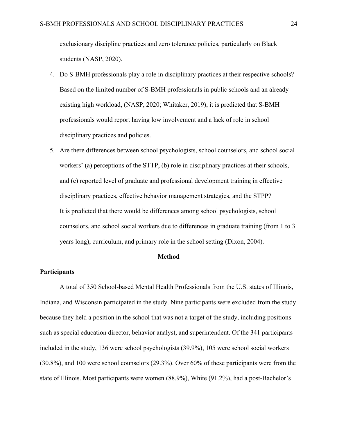exclusionary discipline practices and zero tolerance policies, particularly on Black students (NASP, 2020).

- 4. Do S-BMH professionals play a role in disciplinary practices at their respective schools? Based on the limited number of S-BMH professionals in public schools and an already existing high workload, (NASP, 2020; Whitaker, 2019), it is predicted that S-BMH professionals would report having low involvement and a lack of role in school disciplinary practices and policies.
- 5. Are there differences between school psychologists, school counselors, and school social workers' (a) perceptions of the STTP, (b) role in disciplinary practices at their schools, and (c) reported level of graduate and professional development training in effective disciplinary practices, effective behavior management strategies, and the STPP? It is predicted that there would be differences among school psychologists, school counselors, and school social workers due to differences in graduate training (from 1 to 3 years long), curriculum, and primary role in the school setting (Dixon, 2004).

#### **Method**

#### **Participants**

A total of 350 School-based Mental Health Professionals from the U.S. states of Illinois, Indiana, and Wisconsin participated in the study. Nine participants were excluded from the study because they held a position in the school that was not a target of the study, including positions such as special education director, behavior analyst, and superintendent. Of the 341 participants included in the study, 136 were school psychologists (39.9%), 105 were school social workers (30.8%), and 100 were school counselors (29.3%). Over 60% of these participants were from the state of Illinois. Most participants were women (88.9%), White (91.2%), had a post-Bachelor's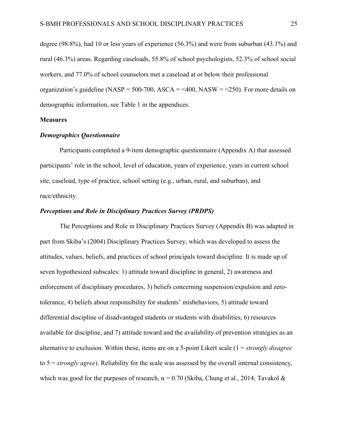degree (98.8%), had 10 or less years of experience (56.3%) and were from suburban (43.1%) and rural (46.3%) areas. Regarding caseloads, 55.8% of school psychologists, 52.3% of school social workers, and 77.0% of school counselors met a caseload at or below their professional organization's guideline (NASP = 500-700, ASCA =  $\leq$ 400, NASW =  $\leq$ 250). For more details on demographic information, see Table 1 in the appendices.

#### **Measures**

#### *Demographics Questionnaire*

Participants completed a 9-item demographic questionnaire (Appendix A) that assessed participants' role in the school, level of education, years of experience, years in current school site, caseload, type of practice, school setting (e.g., urban, rural, and suburban), and race/ethnicity.

#### *Perceptions and Role in Disciplinary Practices Survey (PRDPS)*

The Perceptions and Role in Disciplinary Practices Survey (Appendix B) was adapted in part from Skiba's (2004) Disciplinary Practices Survey, which was developed to assess the attitudes, values, beliefs, and practices of school principals toward discipline. It is made up of seven hypothesized subscales: 1) attitude toward discipline in general, 2) awareness and enforcement of disciplinary procedures, 3) beliefs concerning suspension/expulsion and zerotolerance, 4) beliefs about responsibility for students' misbehaviors, 5) attitude toward differential discipline of disadvantaged students or students with disabilities, 6) resources available for discipline, and 7) attitude toward and the availability of prevention strategies as an alternative to exclusion. Within these, items are on a 5-point Likert scale (1 = *strongly disagree* to 5 = *strongly agree*). Reliability for the scale was assessed by the overall internal consistency, which was good for the purposes of research,  $\alpha = 0.70$  (Skiba, Chung et al., 2014; Tavakol &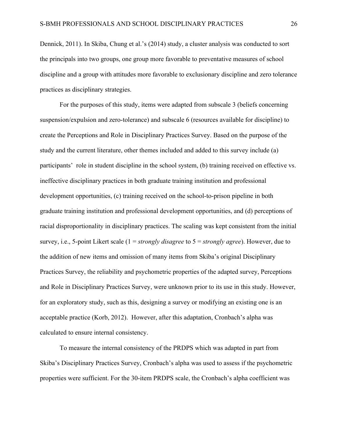Dennick, 2011). In Skiba, Chung et al.'s (2014) study, a cluster analysis was conducted to sort the principals into two groups, one group more favorable to preventative measures of school discipline and a group with attitudes more favorable to exclusionary discipline and zero tolerance practices as disciplinary strategies.

For the purposes of this study, items were adapted from subscale 3 (beliefs concerning suspension/expulsion and zero-tolerance) and subscale 6 (resources available for discipline) to create the Perceptions and Role in Disciplinary Practices Survey. Based on the purpose of the study and the current literature, other themes included and added to this survey include (a) participants' role in student discipline in the school system, (b) training received on effective vs. ineffective disciplinary practices in both graduate training institution and professional development opportunities, (c) training received on the school-to-prison pipeline in both graduate training institution and professional development opportunities, and (d) perceptions of racial disproportionality in disciplinary practices. The scaling was kept consistent from the initial survey, i.e., 5-point Likert scale (1 = *strongly disagree* to 5 = *strongly agree*). However, due to the addition of new items and omission of many items from Skiba's original Disciplinary Practices Survey, the reliability and psychometric properties of the adapted survey, Perceptions and Role in Disciplinary Practices Survey, were unknown prior to its use in this study. However, for an exploratory study, such as this, designing a survey or modifying an existing one is an acceptable practice (Korb, 2012). However, after this adaptation, Cronbach's alpha was calculated to ensure internal consistency.

To measure the internal consistency of the PRDPS which was adapted in part from Skiba's Disciplinary Practices Survey, Cronbach's alpha was used to assess if the psychometric properties were sufficient. For the 30-item PRDPS scale, the Cronbach's alpha coefficient was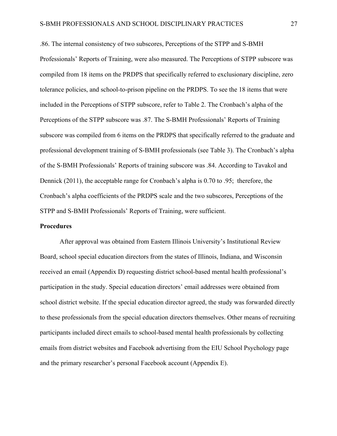.86. The internal consistency of two subscores, Perceptions of the STPP and S-BMH Professionals' Reports of Training, were also measured. The Perceptions of STPP subscore was compiled from 18 items on the PRDPS that specifically referred to exclusionary discipline, zero tolerance policies, and school-to-prison pipeline on the PRDPS. To see the 18 items that were included in the Perceptions of STPP subscore, refer to Table 2. The Cronbach's alpha of the Perceptions of the STPP subscore was .87. The S-BMH Professionals' Reports of Training subscore was compiled from 6 items on the PRDPS that specifically referred to the graduate and professional development training of S-BMH professionals (see Table 3). The Cronbach's alpha of the S-BMH Professionals' Reports of training subscore was .84. According to Tavakol and Dennick (2011), the acceptable range for Cronbach's alpha is 0.70 to .95; therefore, the Cronbach's alpha coefficients of the PRDPS scale and the two subscores, Perceptions of the STPP and S-BMH Professionals' Reports of Training, were sufficient.

#### **Procedures**

After approval was obtained from Eastern Illinois University's Institutional Review Board, school special education directors from the states of Illinois, Indiana, and Wisconsin received an email (Appendix D) requesting district school-based mental health professional's participation in the study. Special education directors' email addresses were obtained from school district website. If the special education director agreed, the study was forwarded directly to these professionals from the special education directors themselves. Other means of recruiting participants included direct emails to school-based mental health professionals by collecting emails from district websites and Facebook advertising from the EIU School Psychology page and the primary researcher's personal Facebook account (Appendix E).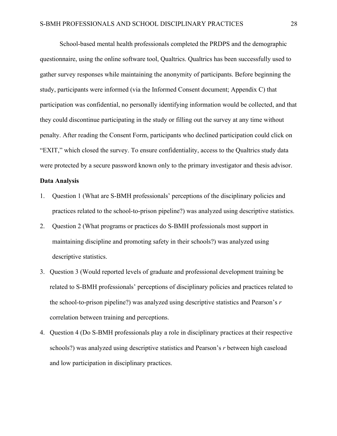School-based mental health professionals completed the PRDPS and the demographic questionnaire, using the online software tool, Qualtrics. Qualtrics has been successfully used to gather survey responses while maintaining the anonymity of participants. Before beginning the study, participants were informed (via the Informed Consent document; Appendix C) that participation was confidential, no personally identifying information would be collected, and that they could discontinue participating in the study or filling out the survey at any time without penalty. After reading the Consent Form, participants who declined participation could click on "EXIT," which closed the survey. To ensure confidentiality, access to the Qualtrics study data were protected by a secure password known only to the primary investigator and thesis advisor.

#### **Data Analysis**

- 1. Question 1 (What are S-BMH professionals' perceptions of the disciplinary policies and practices related to the school-to-prison pipeline?) was analyzed using descriptive statistics.
- 2. Question 2 (What programs or practices do S-BMH professionals most support in maintaining discipline and promoting safety in their schools?) was analyzed using descriptive statistics.
- 3. Question 3 (Would reported levels of graduate and professional development training be related to S-BMH professionals' perceptions of disciplinary policies and practices related to the school-to-prison pipeline?) was analyzed using descriptive statistics and Pearson's *r* correlation between training and perceptions.
- 4. Question 4 (Do S-BMH professionals play a role in disciplinary practices at their respective schools?) was analyzed using descriptive statistics and Pearson's *r* between high caseload and low participation in disciplinary practices.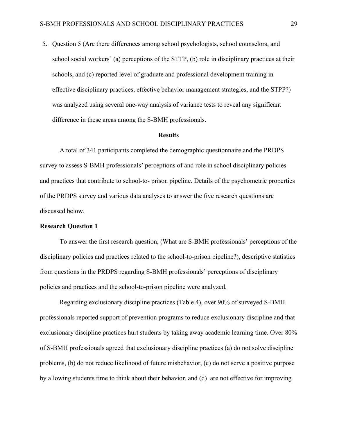5. Question 5 (Are there differences among school psychologists, school counselors, and school social workers' (a) perceptions of the STTP, (b) role in disciplinary practices at their schools, and (c) reported level of graduate and professional development training in effective disciplinary practices, effective behavior management strategies, and the STPP?) was analyzed using several one-way analysis of variance tests to reveal any significant difference in these areas among the S-BMH professionals.

#### **Results**

A total of 341 participants completed the demographic questionnaire and the PRDPS survey to assess S-BMH professionals' perceptions of and role in school disciplinary policies and practices that contribute to school-to- prison pipeline. Details of the psychometric properties of the PRDPS survey and various data analyses to answer the five research questions are discussed below.

#### **Research Question 1**

To answer the first research question, (What are S-BMH professionals' perceptions of the disciplinary policies and practices related to the school-to-prison pipeline?), descriptive statistics from questions in the PRDPS regarding S-BMH professionals' perceptions of disciplinary policies and practices and the school-to-prison pipeline were analyzed.

Regarding exclusionary discipline practices (Table 4), over 90% of surveyed S-BMH professionals reported support of prevention programs to reduce exclusionary discipline and that exclusionary discipline practices hurt students by taking away academic learning time. Over 80% of S-BMH professionals agreed that exclusionary discipline practices (a) do not solve discipline problems, (b) do not reduce likelihood of future misbehavior, (c) do not serve a positive purpose by allowing students time to think about their behavior, and (d) are not effective for improving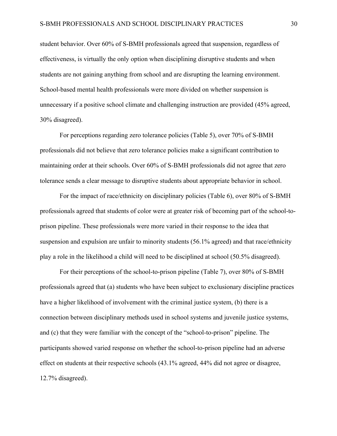student behavior. Over 60% of S-BMH professionals agreed that suspension, regardless of effectiveness, is virtually the only option when disciplining disruptive students and when students are not gaining anything from school and are disrupting the learning environment. School-based mental health professionals were more divided on whether suspension is unnecessary if a positive school climate and challenging instruction are provided (45% agreed, 30% disagreed).

For perceptions regarding zero tolerance policies (Table 5), over 70% of S-BMH professionals did not believe that zero tolerance policies make a significant contribution to maintaining order at their schools. Over 60% of S-BMH professionals did not agree that zero tolerance sends a clear message to disruptive students about appropriate behavior in school.

For the impact of race/ethnicity on disciplinary policies (Table 6), over 80% of S-BMH professionals agreed that students of color were at greater risk of becoming part of the school-toprison pipeline. These professionals were more varied in their response to the idea that suspension and expulsion are unfair to minority students (56.1% agreed) and that race/ethnicity play a role in the likelihood a child will need to be disciplined at school (50.5% disagreed).

For their perceptions of the school-to-prison pipeline (Table 7), over 80% of S-BMH professionals agreed that (a) students who have been subject to exclusionary discipline practices have a higher likelihood of involvement with the criminal justice system, (b) there is a connection between disciplinary methods used in school systems and juvenile justice systems, and (c) that they were familiar with the concept of the "school-to-prison" pipeline. The participants showed varied response on whether the school-to-prison pipeline had an adverse effect on students at their respective schools (43.1% agreed, 44% did not agree or disagree, 12.7% disagreed).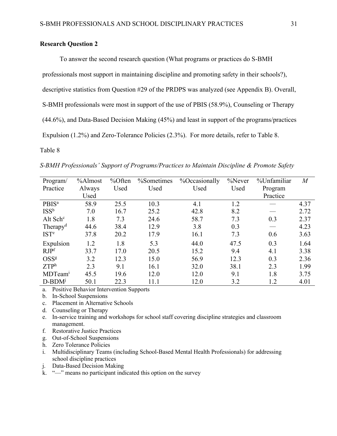#### **Research Question 2**

To answer the second research question (What programs or practices do S-BMH professionals most support in maintaining discipline and promoting safety in their schools?), descriptive statistics from Question #29 of the PRDPS was analyzed (see Appendix B). Overall, S-BMH professionals were most in support of the use of PBIS (58.9%), Counseling or Therapy (44.6%), and Data-Based Decision Making (45%) and least in support of the programs/practices Expulsion (1.2%) and Zero-Tolerance Policies (2.3%). For more details, refer to Table 8.

Table 8

| Program/                 | %Almost | %Often | %Sometimes | %Occasionally | %Never | %Unfamiliar | $\it{M}$ |
|--------------------------|---------|--------|------------|---------------|--------|-------------|----------|
| Practice                 | Always  | Used   | Used       | Used          | Used   | Program     |          |
|                          | Used    |        |            |               |        | Practice    |          |
| <b>PBIS</b> <sup>a</sup> | 58.9    | 25.5   | 10.3       | 4.1           | 1.2    |             | 4.37     |
| ISS <sup>b</sup>         | 7.0     | 16.7   | 25.2       | 42.8          | 8.2    |             | 2.72     |
| Alt Sch <sup>c</sup>     | 1.8     | 7.3    | 24.6       | 58.7          | 7.3    | 0.3         | 2.37     |
| Therapy <sup>d</sup>     | 44.6    | 38.4   | 12.9       | 3.8           | 0.3    |             | 4.23     |
| <b>IST<sup>e</sup></b>   | 37.8    | 20.2   | 17.9       | 16.1          | 7.3    | 0.6         | 3.63     |
| Expulsion                | 1.2     | 1.8    | 5.3        | 44.0          | 47.5   | 0.3         | 1.64     |
| RJP <sup>f</sup>         | 33.7    | 17.0   | 20.5       | 15.2          | 9.4    | 4.1         | 3.38     |
| OSS <sup>g</sup>         | 3.2     | 12.3   | 15.0       | 56.9          | 12.3   | 0.3         | 2.36     |
| ZTP <sup>h</sup>         | 2.3     | 9.1    | 16.1       | 32.0          | 38.1   | 2.3         | 1.99     |
| MDTeam <sup>i</sup>      | 45.5    | 19.6   | 12.0       | 12.0          | 9.1    | 1.8         | 3.75     |
| D-BDM <sup>j</sup>       | 50.1    | 22.3   | 11.1       | 12.0          | 3.2    | 1.2         | 4.01     |

*S-BMH Professionals' Support of Programs/Practices to Maintain Discipline & Promote Safety*

a. Positive Behavior Intervention Supports

b. In-School Suspensions

c. Placement in Alternative Schools

- d. Counseling or Therapy
- e. In-service training and workshops for school staff covering discipline strategies and classroom management.
- f. Restorative Justice Practices
- g. Out-of-School Suspensions
- h. Zero Tolerance Policies
- i. Multidisciplinary Teams (including School-Based Mental Health Professionals) for addressing school discipline practices
- j. Data-Based Decision Making

k. "—" means no participant indicated this option on the survey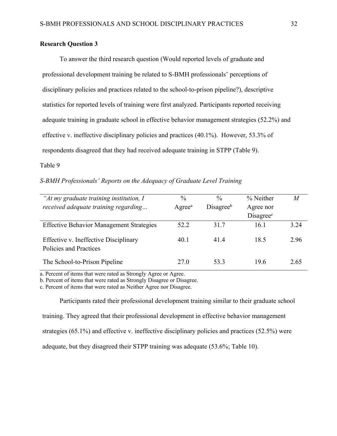#### **Research Question 3**

To answer the third research question (Would reported levels of graduate and professional development training be related to S-BMH professionals' perceptions of disciplinary policies and practices related to the school-to-prison pipeline?), descriptive statistics for reported levels of training were first analyzed. Participants reported receiving adequate training in graduate school in effective behavior management strategies (52.2%) and effective v. ineffective disciplinary policies and practices (40.1%). However, 53.3% of respondents disagreed that they had received adequate training in STPP (Table 9).

#### Table 9

#### *S-BMH Professionals' Reports on the Adequacy of Graduate Level Training*

| "At my graduate training institution, I                         | $\frac{0}{0}$      | $\frac{0}{0}$         | % Neither             | M    |
|-----------------------------------------------------------------|--------------------|-----------------------|-----------------------|------|
| received adequate training regarding                            | Agree <sup>a</sup> | Disagree <sup>b</sup> | Agree nor             |      |
|                                                                 |                    |                       | Disagree <sup>c</sup> |      |
| <b>Effective Behavior Management Strategies</b>                 | 52.2               | 31.7                  | 16.1                  | 3.24 |
| Effective v. Ineffective Disciplinary<br>Policies and Practices | 40.1               | 41.4                  | 18.5                  | 2.96 |
| The School-to-Prison Pipeline                                   | 27.0               | 53.3                  | 19.6                  | 2.65 |

a. Percent of items that were rated as Strongly Agree or Agree.

b. Percent of items that were rated as Strongly Disagree or Disagree.

c. Percent of items that were rated as Neither Agree nor Disagree.

Participants rated their professional development training similar to their graduate school training. They agreed that their professional development in effective behavior management strategies (65.1%) and effective v. ineffective disciplinary policies and practices (52.5%) were adequate, but they disagreed their STPP training was adequate (53.6%; Table 10).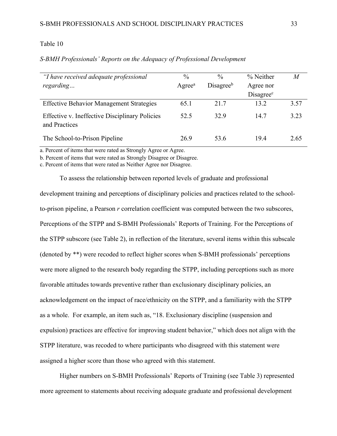#### Table 10

#### *S-BMH Professionals' Reports on the Adequacy of Professional Development*

| "I have received adequate professional                          | $\frac{0}{0}$         | $\frac{0}{0}$         | % Neither             | $\overline{M}$ |
|-----------------------------------------------------------------|-----------------------|-----------------------|-----------------------|----------------|
| regarding                                                       | $A$ gree <sup>a</sup> | Disagree <sup>b</sup> | Agree nor             |                |
|                                                                 |                       |                       | Disagree <sup>c</sup> |                |
| <b>Effective Behavior Management Strategies</b>                 | 65.1                  | 21.7                  | 13.2                  | 3.57           |
| Effective v. Ineffective Disciplinary Policies<br>and Practices | 52.5                  | 32.9                  | 14.7                  | 3.23           |
| The School-to-Prison Pipeline                                   | 26.9                  | 53.6                  | 19.4                  | 2.65           |

a. Percent of items that were rated as Strongly Agree or Agree.

b. Percent of items that were rated as Strongly Disagree or Disagree.

c. Percent of items that were rated as Neither Agree nor Disagree.

To assess the relationship between reported levels of graduate and professional development training and perceptions of disciplinary policies and practices related to the schoolto-prison pipeline, a Pearson *r* correlation coefficient was computed between the two subscores, Perceptions of the STPP and S-BMH Professionals' Reports of Training. For the Perceptions of the STPP subscore (see Table 2), in reflection of the literature, several items within this subscale (denoted by \*\*) were recoded to reflect higher scores when S-BMH professionals' perceptions were more aligned to the research body regarding the STPP, including perceptions such as more favorable attitudes towards preventive rather than exclusionary disciplinary policies, an acknowledgement on the impact of race/ethnicity on the STPP, and a familiarity with the STPP as a whole. For example, an item such as, "18. Exclusionary discipline (suspension and expulsion) practices are effective for improving student behavior," which does not align with the STPP literature, was recoded to where participants who disagreed with this statement were assigned a higher score than those who agreed with this statement.

Higher numbers on S-BMH Professionals' Reports of Training (see Table 3) represented more agreement to statements about receiving adequate graduate and professional development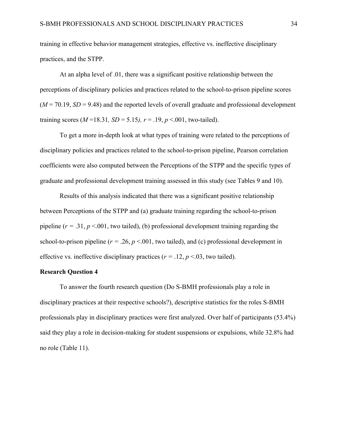training in effective behavior management strategies, effective vs. ineffective disciplinary practices, and the STPP.

At an alpha level of .01, there was a significant positive relationship between the perceptions of disciplinary policies and practices related to the school-to-prison pipeline scores  $(M = 70.19, SD = 9.48)$  and the reported levels of overall graduate and professional development training scores ( $M = 18.31$ ,  $SD = 5.15$ ),  $r = .19$ ,  $p < .001$ , two-tailed).

To get a more in-depth look at what types of training were related to the perceptions of disciplinary policies and practices related to the school-to-prison pipeline, Pearson correlation coefficients were also computed between the Perceptions of the STPP and the specific types of graduate and professional development training assessed in this study (see Tables 9 and 10).

Results of this analysis indicated that there was a significant positive relationship between Perceptions of the STPP and (a) graduate training regarding the school-to-prison pipeline  $(r = .31, p < .001,$  two tailed), (b) professional development training regarding the school-to-prison pipeline ( $r = .26$ ,  $p < .001$ , two tailed), and (c) professional development in effective vs. ineffective disciplinary practices  $(r = .12, p < .03,$  two tailed).

#### **Research Question 4**

To answer the fourth research question (Do S-BMH professionals play a role in disciplinary practices at their respective schools?), descriptive statistics for the roles S-BMH professionals play in disciplinary practices were first analyzed. Over half of participants (53.4%) said they play a role in decision-making for student suspensions or expulsions, while 32.8% had no role (Table 11).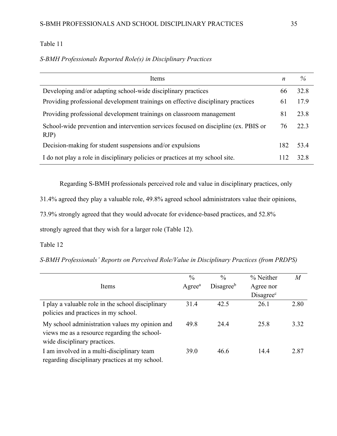#### Table 11

#### *S-BMH Professionals Reported Role(s) in Disciplinary Practices*

| Items                                                                                       | n   | $\%$ |
|---------------------------------------------------------------------------------------------|-----|------|
| Developing and/or adapting school-wide disciplinary practices                               | 66  | 32.8 |
| Providing professional development trainings on effective disciplinary practices            | 61  | 17.9 |
| Providing professional development trainings on classroom management                        | 81  | 23.8 |
| School-wide prevention and intervention services focused on discipline (ex. PBIS or<br>RJP) | 76  | 22.3 |
| Decision-making for student suspensions and/or expulsions                                   | 182 | 53.4 |
| I do not play a role in disciplinary policies or practices at my school site.               | 112 | 32.8 |

Regarding S-BMH professionals perceived role and value in disciplinary practices, only

31.4% agreed they play a valuable role, 49.8% agreed school administrators value their opinions,

73.9% strongly agreed that they would advocate for evidence-based practices, and 52.8%

strongly agreed that they wish for a larger role (Table 12).

#### Table 12

*S-BMH Professionals' Reports on Perceived Role/Value in Disciplinary Practices (from PRDPS)* 

|                                                   | $\frac{0}{0}$         | $\frac{0}{0}$         | % Neither             | $\boldsymbol{M}$ |
|---------------------------------------------------|-----------------------|-----------------------|-----------------------|------------------|
| Items                                             | $A$ gree <sup>a</sup> | Disagree <sup>b</sup> | Agree nor             |                  |
|                                                   |                       |                       | Disagree <sup>c</sup> |                  |
| I play a valuable role in the school disciplinary | 31.4                  | 42.5                  | 26.1                  | 2.80             |
| policies and practices in my school.              |                       |                       |                       |                  |
| My school administration values my opinion and    | 49.8                  | 24.4                  | 25.8                  | 3.32             |
| views me as a resource regarding the school-      |                       |                       |                       |                  |
| wide disciplinary practices.                      |                       |                       |                       |                  |
| I am involved in a multi-disciplinary team        | 39.0                  | 46.6                  | 14.4                  | 2.87             |
| regarding disciplinary practices at my school.    |                       |                       |                       |                  |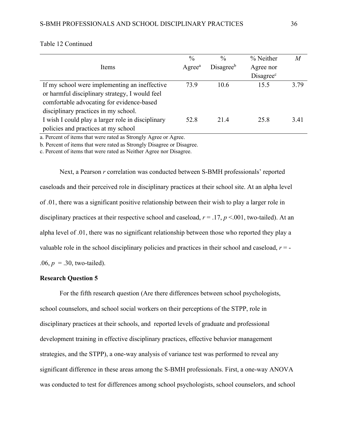|                                                   | $\frac{0}{0}$      | $\frac{0}{0}$         | % Neither             | M    |
|---------------------------------------------------|--------------------|-----------------------|-----------------------|------|
| Items                                             | Agree <sup>a</sup> | Disagree <sup>b</sup> | Agree nor             |      |
|                                                   |                    |                       | Disagree <sup>c</sup> |      |
| If my school were implementing an ineffective     | 73.9               | 10.6                  | 15.5                  | 3.79 |
| or harmful disciplinary strategy, I would feel    |                    |                       |                       |      |
| comfortable advocating for evidence-based         |                    |                       |                       |      |
| disciplinary practices in my school.              |                    |                       |                       |      |
| I wish I could play a larger role in disciplinary | 52.8               | 21.4                  | 25.8                  | 3.41 |
| policies and practices at my school               |                    |                       |                       |      |

Table 12 Continued

a. Percent of items that were rated as Strongly Agree or Agree.

b. Percent of items that were rated as Strongly Disagree or Disagree.

c. Percent of items that were rated as Neither Agree nor Disagree.

Next, a Pearson *r* correlation was conducted between S-BMH professionals' reported caseloads and their perceived role in disciplinary practices at their school site. At an alpha level of .01, there was a significant positive relationship between their wish to play a larger role in disciplinary practices at their respective school and caseload,  $r = .17$ ,  $p < .001$ , two-tailed). At an alpha level of .01, there was no significant relationship between those who reported they play a valuable role in the school disciplinary policies and practices in their school and caseload,  $r = -$ .06,  $p = 0.30$ , two-tailed).

### **Research Question 5**

For the fifth research question (Are there differences between school psychologists, school counselors, and school social workers on their perceptions of the STPP, role in disciplinary practices at their schools, and reported levels of graduate and professional development training in effective disciplinary practices, effective behavior management strategies, and the STPP), a one-way analysis of variance test was performed to reveal any significant difference in these areas among the S-BMH professionals. First, a one-way ANOVA was conducted to test for differences among school psychologists, school counselors, and school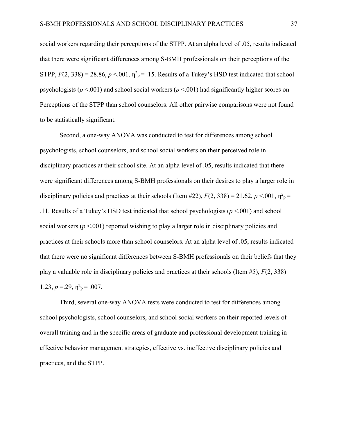social workers regarding their perceptions of the STPP. At an alpha level of .05, results indicated that there were significant differences among S-BMH professionals on their perceptions of the STPP,  $F(2, 338) = 28.86$ ,  $p < 0.01$ ,  $\eta^2$ <sub>P</sub> = .15. Results of a Tukey's HSD test indicated that school psychologists ( $p < .001$ ) and school social workers ( $p < .001$ ) had significantly higher scores on Perceptions of the STPP than school counselors. All other pairwise comparisons were not found to be statistically significant.

Second, a one-way ANOVA was conducted to test for differences among school psychologists, school counselors, and school social workers on their perceived role in disciplinary practices at their school site. At an alpha level of .05, results indicated that there were significant differences among S-BMH professionals on their desires to play a larger role in disciplinary policies and practices at their schools (Item #22),  $F(2, 338) = 21.62$ ,  $p < 0.01$ ,  $\eta^2$ <sub>p</sub> = .11. Results of a Tukey's HSD test indicated that school psychologists (*p* <.001) and school social workers ( $p < .001$ ) reported wishing to play a larger role in disciplinary policies and practices at their schools more than school counselors. At an alpha level of .05, results indicated that there were no significant differences between S-BMH professionals on their beliefs that they play a valuable role in disciplinary policies and practices at their schools (Item  $#5$ ),  $F(2, 338) =$ 1.23,  $p = 0.29$ ,  $\eta^2 = 0.007$ .

Third, several one-way ANOVA tests were conducted to test for differences among school psychologists, school counselors, and school social workers on their reported levels of overall training and in the specific areas of graduate and professional development training in effective behavior management strategies, effective vs. ineffective disciplinary policies and practices, and the STPP.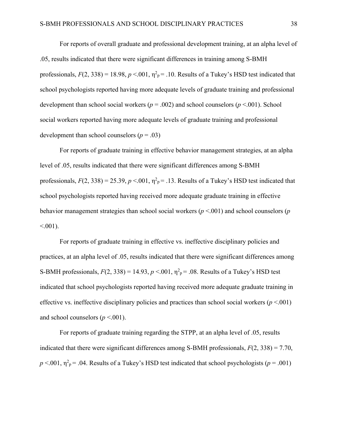For reports of overall graduate and professional development training, at an alpha level of .05, results indicated that there were significant differences in training among S-BMH professionals,  $F(2, 338) = 18.98$ ,  $p < .001$ ,  $\eta^2$ <sub>p</sub> = .10. Results of a Tukey's HSD test indicated that school psychologists reported having more adequate levels of graduate training and professional development than school social workers (*p* = .002) and school counselors (*p* <.001). School social workers reported having more adequate levels of graduate training and professional development than school counselors  $(p = .03)$ 

For reports of graduate training in effective behavior management strategies, at an alpha level of .05, results indicated that there were significant differences among S-BMH professionals,  $F(2, 338) = 25.39$ ,  $p < .001$ ,  $\eta^2$ <sub>p</sub>= .13. Results of a Tukey's HSD test indicated that school psychologists reported having received more adequate graduate training in effective behavior management strategies than school social workers (*p* <.001) and school counselors (*p*  $< 0.001$ ).

For reports of graduate training in effective vs. ineffective disciplinary policies and practices, at an alpha level of .05, results indicated that there were significant differences among S-BMH professionals,  $F(2, 338) = 14.93$ ,  $p < 0.01$ ,  $\eta^2 = 0.08$ . Results of a Tukey's HSD test indicated that school psychologists reported having received more adequate graduate training in effective vs. ineffective disciplinary policies and practices than school social workers (*p* <.001) and school counselors  $(p < .001)$ .

For reports of graduate training regarding the STPP, at an alpha level of .05, results indicated that there were significant differences among S-BMH professionals,  $F(2, 338) = 7.70$ ,  $p < 0.001$ ,  $\eta^2$ <sub>p</sub> = .04. Results of a Tukey's HSD test indicated that school psychologists (*p* = .001)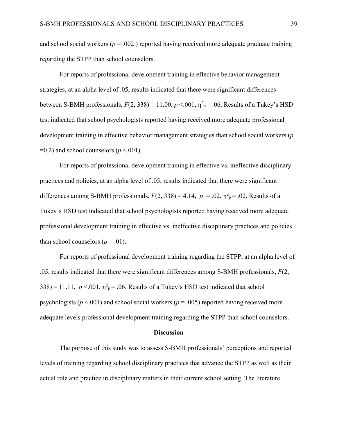and school social workers ( $p = .002$ ) reported having received more adequate graduate training regarding the STPP than school counselors.

For reports of professional development training in effective behavior management strategies, at an alpha level of .05, results indicated that there were significant differences between S-BMH professionals,  $F(2, 338) = 11.00$ ,  $p < 0.01$ ,  $\eta^2 p = 0.06$ . Results of a Tukey's HSD test indicated that school psychologists reported having received more adequate professional development training in effective behavior management strategies than school social workers (*p*  $=0.2$ ) and school counselors ( $p < .001$ ).

For reports of professional development training in effective vs. ineffective disciplinary practices and policies, at an alpha level of .05, results indicated that there were significant differences among S-BMH professionals,  $F(2, 338) = 4.14$ ,  $p = .02$ ,  $\eta^2$ <sub>p</sub>= .02. Results of a Tukey's HSD test indicated that school psychologists reported having received more adequate professional development training in effective vs. ineffective disciplinary practices and policies than school counselors  $(p=.01)$ .

For reports of professional development training regarding the STPP, at an alpha level of .05, results indicated that there were significant differences among S-BMH professionals, *F*(2,  $338$ ) = 11.11,  $p < 0.01$ ,  $\eta^2$ <sub>p</sub> = .06. Results of a Tukey's HSD test indicated that school psychologists ( $p$  <.001) and school social workers ( $p$  = .005) reported having received more adequate levels professional development training regarding the STPP than school counselors.

#### **Discussion**

The purpose of this study was to assess S-BMH professionals' perceptions and reported levels of training regarding school disciplinary practices that advance the STPP as well as their actual role and practice in disciplinary matters in their current school setting. The literature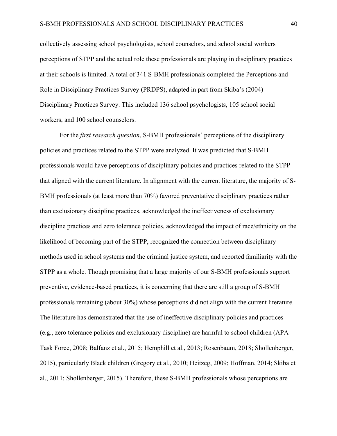collectively assessing school psychologists, school counselors, and school social workers perceptions of STPP and the actual role these professionals are playing in disciplinary practices at their schools is limited. A total of 341 S-BMH professionals completed the Perceptions and Role in Disciplinary Practices Survey (PRDPS), adapted in part from Skiba's (2004) Disciplinary Practices Survey. This included 136 school psychologists, 105 school social workers, and 100 school counselors.

For the *first research question*, S-BMH professionals' perceptions of the disciplinary policies and practices related to the STPP were analyzed. It was predicted that S-BMH professionals would have perceptions of disciplinary policies and practices related to the STPP that aligned with the current literature. In alignment with the current literature, the majority of S-BMH professionals (at least more than 70%) favored preventative disciplinary practices rather than exclusionary discipline practices, acknowledged the ineffectiveness of exclusionary discipline practices and zero tolerance policies, acknowledged the impact of race/ethnicity on the likelihood of becoming part of the STPP, recognized the connection between disciplinary methods used in school systems and the criminal justice system, and reported familiarity with the STPP as a whole. Though promising that a large majority of our S-BMH professionals support preventive, evidence-based practices, it is concerning that there are still a group of S-BMH professionals remaining (about 30%) whose perceptions did not align with the current literature. The literature has demonstrated that the use of ineffective disciplinary policies and practices (e.g., zero tolerance policies and exclusionary discipline) are harmful to school children (APA Task Force, 2008; Balfanz et al., 2015; Hemphill et al., 2013; Rosenbaum, 2018; Shollenberger, 2015), particularly Black children (Gregory et al., 2010; Heitzeg, 2009; Hoffman, 2014; Skiba et al., 2011; Shollenberger, 2015). Therefore, these S-BMH professionals whose perceptions are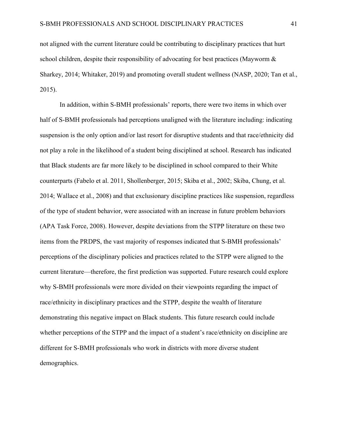not aligned with the current literature could be contributing to disciplinary practices that hurt school children, despite their responsibility of advocating for best practices (Mayworm & Sharkey, 2014; Whitaker, 2019) and promoting overall student wellness (NASP, 2020; Tan et al., 2015).

In addition, within S-BMH professionals' reports, there were two items in which over half of S-BMH professionals had perceptions unaligned with the literature including: indicating suspension is the only option and/or last resort for disruptive students and that race/ethnicity did not play a role in the likelihood of a student being disciplined at school. Research has indicated that Black students are far more likely to be disciplined in school compared to their White counterparts (Fabelo et al. 2011, Shollenberger, 2015; Skiba et al., 2002; Skiba, Chung, et al. 2014; Wallace et al., 2008) and that exclusionary discipline practices like suspension, regardless of the type of student behavior, were associated with an increase in future problem behaviors (APA Task Force, 2008). However, despite deviations from the STPP literature on these two items from the PRDPS, the vast majority of responses indicated that S-BMH professionals' perceptions of the disciplinary policies and practices related to the STPP were aligned to the current literature—therefore, the first prediction was supported. Future research could explore why S-BMH professionals were more divided on their viewpoints regarding the impact of race/ethnicity in disciplinary practices and the STPP, despite the wealth of literature demonstrating this negative impact on Black students. This future research could include whether perceptions of the STPP and the impact of a student's race/ethnicity on discipline are different for S-BMH professionals who work in districts with more diverse student demographics.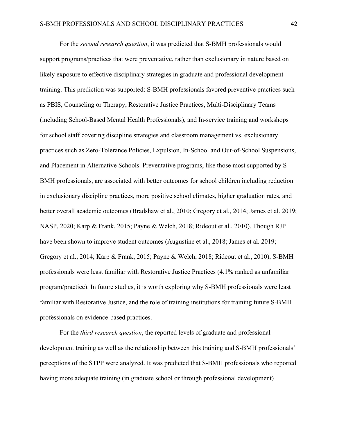For the *second research question*, it was predicted that S-BMH professionals would support programs/practices that were preventative, rather than exclusionary in nature based on likely exposure to effective disciplinary strategies in graduate and professional development training. This prediction was supported: S-BMH professionals favored preventive practices such as PBIS, Counseling or Therapy, Restorative Justice Practices, Multi-Disciplinary Teams (including School-Based Mental Health Professionals), and In-service training and workshops for school staff covering discipline strategies and classroom management vs. exclusionary practices such as Zero-Tolerance Policies, Expulsion, In-School and Out-of-School Suspensions, and Placement in Alternative Schools. Preventative programs, like those most supported by S-BMH professionals, are associated with better outcomes for school children including reduction in exclusionary discipline practices, more positive school climates, higher graduation rates, and better overall academic outcomes (Bradshaw et al., 2010; Gregory et al., 2014; James et al. 2019; NASP, 2020; Karp & Frank, 2015; Payne & Welch, 2018; Rideout et al., 2010). Though RJP have been shown to improve student outcomes (Augustine et al., 2018; James et al. 2019; Gregory et al., 2014; Karp & Frank, 2015; Payne & Welch, 2018; Rideout et al., 2010), S-BMH professionals were least familiar with Restorative Justice Practices (4.1% ranked as unfamiliar program/practice). In future studies, it is worth exploring why S-BMH professionals were least familiar with Restorative Justice, and the role of training institutions for training future S-BMH professionals on evidence-based practices.

For the *third research question*, the reported levels of graduate and professional development training as well as the relationship between this training and S-BMH professionals' perceptions of the STPP were analyzed. It was predicted that S-BMH professionals who reported having more adequate training (in graduate school or through professional development)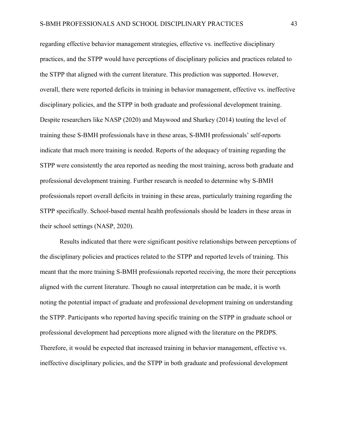regarding effective behavior management strategies, effective vs. ineffective disciplinary practices, and the STPP would have perceptions of disciplinary policies and practices related to the STPP that aligned with the current literature. This prediction was supported. However, overall, there were reported deficits in training in behavior management, effective vs. ineffective disciplinary policies, and the STPP in both graduate and professional development training. Despite researchers like NASP (2020) and Maywood and Sharkey (2014) touting the level of training these S-BMH professionals have in these areas, S-BMH professionals' self-reports indicate that much more training is needed. Reports of the adequacy of training regarding the STPP were consistently the area reported as needing the most training, across both graduate and professional development training. Further research is needed to determine why S-BMH professionals report overall deficits in training in these areas, particularly training regarding the STPP specifically. School-based mental health professionals should be leaders in these areas in their school settings (NASP, 2020).

Results indicated that there were significant positive relationships between perceptions of the disciplinary policies and practices related to the STPP and reported levels of training. This meant that the more training S-BMH professionals reported receiving, the more their perceptions aligned with the current literature. Though no causal interpretation can be made, it is worth noting the potential impact of graduate and professional development training on understanding the STPP. Participants who reported having specific training on the STPP in graduate school or professional development had perceptions more aligned with the literature on the PRDPS. Therefore, it would be expected that increased training in behavior management, effective vs. ineffective disciplinary policies, and the STPP in both graduate and professional development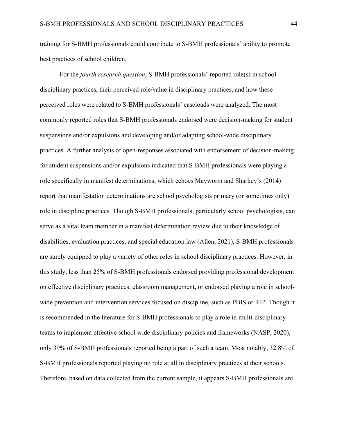training for S-BMH professionals could contribute to S-BMH professionals' ability to promote best practices of school children.

For the *fourth research question*, S-BMH professionals' reported role(s) in school disciplinary practices, their perceived role/value in disciplinary practices, and how these perceived roles were related to S-BMH professionals' caseloads were analyzed. The most commonly reported roles that S-BMH professionals endorsed were decision-making for student suspensions and/or expulsions and developing and/or adapting school-wide disciplinary practices. A further analysis of open-responses associated with endorsement of decision-making for student suspensions and/or expulsions indicated that S-BMH professionals were playing a role specifically in manifest determinations, which echoes Mayworm and Sharkey's (2014) report that manifestation determinations are school psychologists primary (or sometimes only) role in discipline practices. Though S-BMH professionals, particularly school psychologists, can serve as a vital team member in a manifest determination review due to their knowledge of disabilities, evaluation practices, and special education law (Allen, 2021), S-BMH professionals are surely equipped to play a variety of other roles in school disciplinary practices. However, in this study, less than 25% of S-BMH professionals endorsed providing professional development on effective disciplinary practices, classroom management, or endorsed playing a role in schoolwide prevention and intervention services focused on discipline, such as PBIS or RJP. Though it is recommended in the literature for S-BMH professionals to play a role in multi-disciplinary teams to implement effective school wide disciplinary policies and frameworks (NASP, 2020), only 39% of S-BMH professionals reported being a part of such a team. Most notably, 32.8% of S-BMH professionals reported playing no role at all in disciplinary practices at their schools. Therefore, based on data collected from the current sample, it appears S-BMH professionals are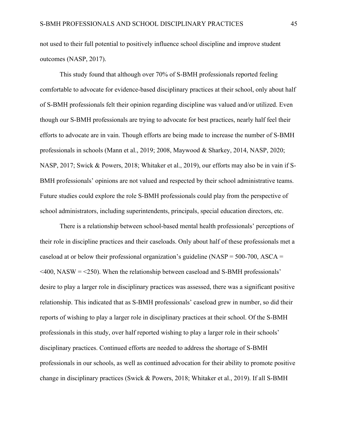not used to their full potential to positively influence school discipline and improve student outcomes (NASP, 2017).

This study found that although over 70% of S-BMH professionals reported feeling comfortable to advocate for evidence-based disciplinary practices at their school, only about half of S-BMH professionals felt their opinion regarding discipline was valued and/or utilized. Even though our S-BMH professionals are trying to advocate for best practices, nearly half feel their efforts to advocate are in vain. Though efforts are being made to increase the number of S-BMH professionals in schools (Mann et al., 2019; 2008, Maywood & Sharkey, 2014, NASP, 2020; NASP, 2017; Swick & Powers, 2018; Whitaker et al., 2019), our efforts may also be in vain if S-BMH professionals' opinions are not valued and respected by their school administrative teams. Future studies could explore the role S-BMH professionals could play from the perspective of school administrators, including superintendents, principals, special education directors, etc.

There is a relationship between school-based mental health professionals' perceptions of their role in discipline practices and their caseloads. Only about half of these professionals met a caseload at or below their professional organization's guideline (NASP =  $500-700$ , ASCA =  $\leq$ 400, NASW =  $\leq$ 250). When the relationship between caseload and S-BMH professionals' desire to play a larger role in disciplinary practices was assessed, there was a significant positive relationship. This indicated that as S-BMH professionals' caseload grew in number, so did their reports of wishing to play a larger role in disciplinary practices at their school. Of the S-BMH professionals in this study, over half reported wishing to play a larger role in their schools' disciplinary practices. Continued efforts are needed to address the shortage of S-BMH professionals in our schools, as well as continued advocation for their ability to promote positive change in disciplinary practices (Swick & Powers, 2018; Whitaker et al., 2019). If all S-BMH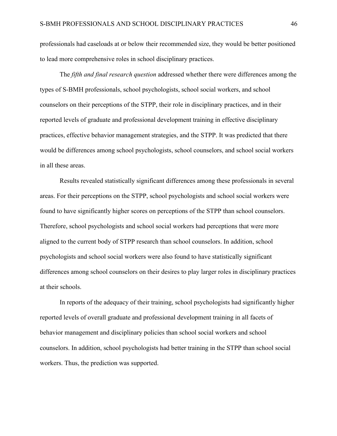professionals had caseloads at or below their recommended size, they would be better positioned to lead more comprehensive roles in school disciplinary practices.

The *fifth and final research question* addressed whether there were differences among the types of S-BMH professionals, school psychologists, school social workers, and school counselors on their perceptions of the STPP, their role in disciplinary practices, and in their reported levels of graduate and professional development training in effective disciplinary practices, effective behavior management strategies, and the STPP. It was predicted that there would be differences among school psychologists, school counselors, and school social workers in all these areas.

Results revealed statistically significant differences among these professionals in several areas. For their perceptions on the STPP, school psychologists and school social workers were found to have significantly higher scores on perceptions of the STPP than school counselors. Therefore, school psychologists and school social workers had perceptions that were more aligned to the current body of STPP research than school counselors. In addition, school psychologists and school social workers were also found to have statistically significant differences among school counselors on their desires to play larger roles in disciplinary practices at their schools.

In reports of the adequacy of their training, school psychologists had significantly higher reported levels of overall graduate and professional development training in all facets of behavior management and disciplinary policies than school social workers and school counselors. In addition, school psychologists had better training in the STPP than school social workers. Thus, the prediction was supported.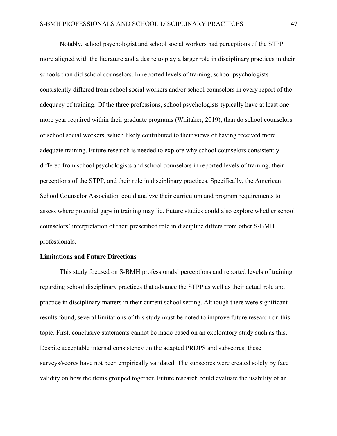Notably, school psychologist and school social workers had perceptions of the STPP more aligned with the literature and a desire to play a larger role in disciplinary practices in their schools than did school counselors. In reported levels of training, school psychologists consistently differed from school social workers and/or school counselors in every report of the adequacy of training. Of the three professions, school psychologists typically have at least one more year required within their graduate programs (Whitaker, 2019), than do school counselors or school social workers, which likely contributed to their views of having received more adequate training. Future research is needed to explore why school counselors consistently differed from school psychologists and school counselors in reported levels of training, their perceptions of the STPP, and their role in disciplinary practices. Specifically, the American School Counselor Association could analyze their curriculum and program requirements to assess where potential gaps in training may lie. Future studies could also explore whether school counselors' interpretation of their prescribed role in discipline differs from other S-BMH professionals.

### **Limitations and Future Directions**

This study focused on S-BMH professionals' perceptions and reported levels of training regarding school disciplinary practices that advance the STPP as well as their actual role and practice in disciplinary matters in their current school setting. Although there were significant results found, several limitations of this study must be noted to improve future research on this topic. First, conclusive statements cannot be made based on an exploratory study such as this. Despite acceptable internal consistency on the adapted PRDPS and subscores, these surveys/scores have not been empirically validated. The subscores were created solely by face validity on how the items grouped together. Future research could evaluate the usability of an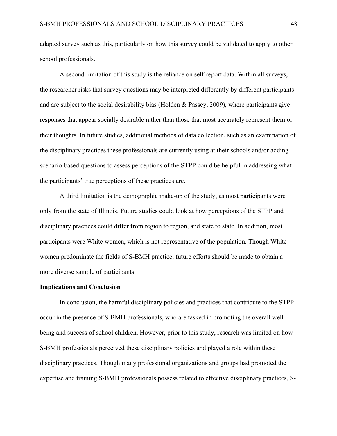adapted survey such as this, particularly on how this survey could be validated to apply to other school professionals.

A second limitation of this study is the reliance on self-report data. Within all surveys, the researcher risks that survey questions may be interpreted differently by different participants and are subject to the social desirability bias (Holden & Passey, 2009), where participants give responses that appear socially desirable rather than those that most accurately represent them or their thoughts. In future studies, additional methods of data collection, such as an examination of the disciplinary practices these professionals are currently using at their schools and/or adding scenario-based questions to assess perceptions of the STPP could be helpful in addressing what the participants' true perceptions of these practices are.

A third limitation is the demographic make-up of the study, as most participants were only from the state of Illinois. Future studies could look at how perceptions of the STPP and disciplinary practices could differ from region to region, and state to state. In addition, most participants were White women, which is not representative of the population. Though White women predominate the fields of S-BMH practice, future efforts should be made to obtain a more diverse sample of participants.

#### **Implications and Conclusion**

In conclusion, the harmful disciplinary policies and practices that contribute to the STPP occur in the presence of S-BMH professionals, who are tasked in promoting the overall wellbeing and success of school children. However, prior to this study, research was limited on how S-BMH professionals perceived these disciplinary policies and played a role within these disciplinary practices. Though many professional organizations and groups had promoted the expertise and training S-BMH professionals possess related to effective disciplinary practices, S-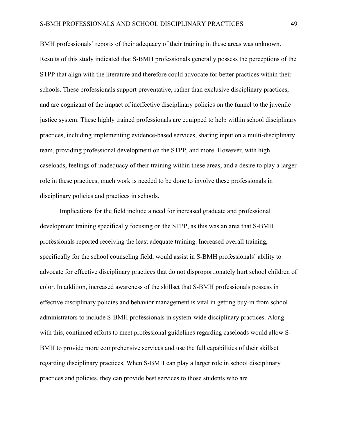BMH professionals' reports of their adequacy of their training in these areas was unknown. Results of this study indicated that S-BMH professionals generally possess the perceptions of the STPP that align with the literature and therefore could advocate for better practices within their schools. These professionals support preventative, rather than exclusive disciplinary practices, and are cognizant of the impact of ineffective disciplinary policies on the funnel to the juvenile justice system. These highly trained professionals are equipped to help within school disciplinary practices, including implementing evidence-based services, sharing input on a multi-disciplinary team, providing professional development on the STPP, and more. However, with high caseloads, feelings of inadequacy of their training within these areas, and a desire to play a larger role in these practices, much work is needed to be done to involve these professionals in disciplinary policies and practices in schools.

Implications for the field include a need for increased graduate and professional development training specifically focusing on the STPP, as this was an area that S-BMH professionals reported receiving the least adequate training. Increased overall training, specifically for the school counseling field, would assist in S-BMH professionals' ability to advocate for effective disciplinary practices that do not disproportionately hurt school children of color. In addition, increased awareness of the skillset that S-BMH professionals possess in effective disciplinary policies and behavior management is vital in getting buy-in from school administrators to include S-BMH professionals in system-wide disciplinary practices. Along with this, continued efforts to meet professional guidelines regarding caseloads would allow S-BMH to provide more comprehensive services and use the full capabilities of their skillset regarding disciplinary practices. When S-BMH can play a larger role in school disciplinary practices and policies, they can provide best services to those students who are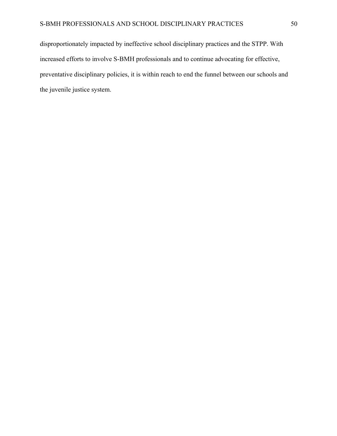disproportionately impacted by ineffective school disciplinary practices and the STPP. With increased efforts to involve S-BMH professionals and to continue advocating for effective, preventative disciplinary policies, it is within reach to end the funnel between our schools and the juvenile justice system.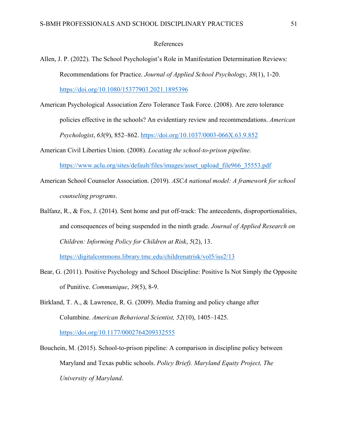#### References

- Allen, J. P. (2022). The School Psychologist's Role in Manifestation Determination Reviews: Recommendations for Practice. *Journal of Applied School Psychology*, *38*(1), 1-20. https://doi.org/10.1080/15377903.2021.1895396
- American Psychological Association Zero Tolerance Task Force. (2008). Are zero tolerance policies effective in the schools? An evidentiary review and recommendations. *American Psychologist*, *63*(9), 852–862. https://doi.org/10.1037/0003-066X.63.9.852
- American Civil Liberties Union. (2008). *Locating the school-to-prison pipeline*. https://www.aclu.org/sites/default/files/images/asset\_upload\_file966\_35553.pdf
- American School Counselor Association. (2019). *ASCA national model: A framework for school counseling programs*.
- Balfanz, R., & Fox, J. (2014). Sent home and put off-track: The antecedents, disproportionalities, and consequences of being suspended in the ninth grade. *Journal of Applied Research on Children: Informing Policy for Children at Risk*, *5*(2), 13.

https://digitalcommons.library.tmc.edu/childrenatrisk/vol5/iss2/13

- Bear, G. (2011). Positive Psychology and School Discipline: Positive Is Not Simply the Opposite of Punitive. *Communique*, *39*(5), 8-9.
- Birkland, T. A., & Lawrence, R. G. (2009). Media framing and policy change after Columbine. *American Behavioral Scientist, 52*(10), 1405–1425. https://doi.org/10.1177/0002764209332555
- Bouchein, M. (2015). School-to-prison pipeline: A comparison in discipline policy between Maryland and Texas public schools. *Policy Brief). Maryland Equity Project, The University of Maryland*.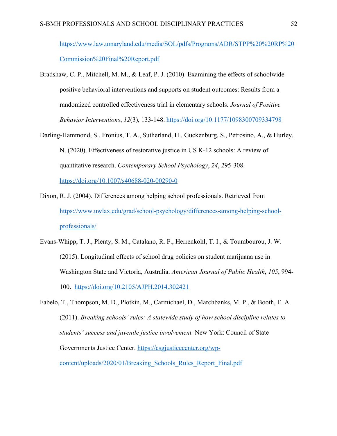https://www.law.umaryland.edu/media/SOL/pdfs/Programs/ADR/STPP%20%20RP%20 Commission%20Final%20Report.pdf

- Bradshaw, C. P., Mitchell, M. M., & Leaf, P. J. (2010). Examining the effects of schoolwide positive behavioral interventions and supports on student outcomes: Results from a randomized controlled effectiveness trial in elementary schools. *Journal of Positive Behavior Interventions*, *12*(3), 133-148. https://doi.org/10.1177/1098300709334798
- Darling-Hammond, S., Fronius, T. A., Sutherland, H., Guckenburg, S., Petrosino, A., & Hurley, N. (2020). Effectiveness of restorative justice in US K-12 schools: A review of quantitative research. *Contemporary School Psychology*, *24*, 295-308.

https://doi.org/10.1007/s40688-020-00290-0

- Dixon, R. J. (2004). Differences among helping school professionals. Retrieved from https://www.uwlax.edu/grad/school-psychology/differences-among-helping-schoolprofessionals/
- Evans-Whipp, T. J., Plenty, S. M., Catalano, R. F., Herrenkohl, T. I., & Toumbourou, J. W. (2015). Longitudinal effects of school drug policies on student marijuana use in Washington State and Victoria, Australia. *American Journal of Public Health*, *105*, 994- 100. https://doi.org/10.2105/AJPH.2014.302421
- Fabelo, T., Thompson, M. D., Plotkin, M., Carmichael, D., Marchbanks, M. P., & Booth, E. A. (2011). *Breaking schools' rules: A statewide study of how school discipline relates to students' success and juvenile justice involvement.* New York: Council of State Governments Justice Center. https://csgjusticecenter.org/wpcontent/uploads/2020/01/Breaking\_Schools\_Rules\_Report\_Final.pdf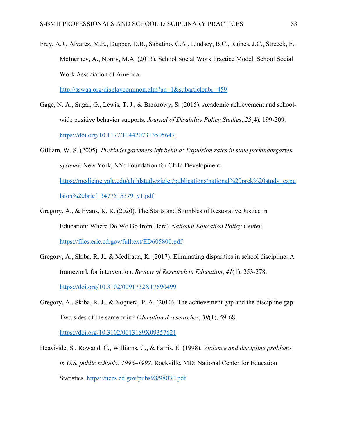Frey, A.J., Alvarez, M.E., Dupper, D.R., Sabatino, C.A., Lindsey, B.C., Raines, J.C., Streeck, F., McInerney, A., Norris, M.A. (2013). School Social Work Practice Model. School Social Work Association of America.

http://sswaa.org/displaycommon.cfm?an=1&subarticlenbr=459

- Gage, N. A., Sugai, G., Lewis, T. J., & Brzozowy, S. (2015). Academic achievement and schoolwide positive behavior supports. *Journal of Disability Policy Studies*, *25*(4), 199-209. https://doi.org/10.1177/1044207313505647
- Gilliam, W. S. (2005). *Prekindergarteners left behind: Expulsion rates in state prekindergarten systems*. New York, NY: Foundation for Child Development. https://medicine.yale.edu/childstudy/zigler/publications/national%20prek%20study\_expu lsion%20brief\_34775\_5379\_v1.pdf
- Gregory, A., & Evans, K. R. (2020). The Starts and Stumbles of Restorative Justice in Education: Where Do We Go from Here? *National Education Policy Center*. https://files.eric.ed.gov/fulltext/ED605800.pdf
- Gregory, A., Skiba, R. J., & Mediratta, K. (2017). Eliminating disparities in school discipline: A framework for intervention. *Review of Research in Education*, *41*(1), 253-278. https://doi.org/10.3102/0091732X17690499
- Gregory, A., Skiba, R. J., & Noguera, P. A. (2010). The achievement gap and the discipline gap: Two sides of the same coin? *Educational researcher*, *39*(1), 59-68. https://doi.org/10.3102/0013189X09357621
- Heaviside, S., Rowand, C., Williams, C., & Farris, E. (1998). *Violence and discipline problems in U.S. public schools: 1996–1997*. Rockville, MD: National Center for Education Statistics. https://nces.ed.gov/pubs98/98030.pdf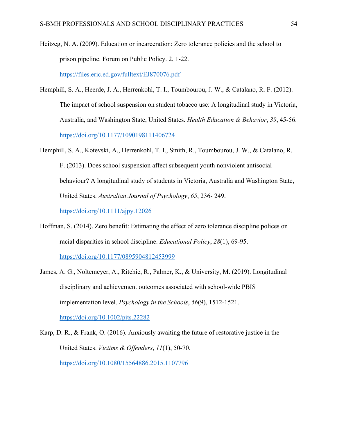Heitzeg, N. A. (2009). Education or incarceration: Zero tolerance policies and the school to prison pipeline. Forum on Public Policy. 2, 1-22. https://files.eric.ed.gov/fulltext/EJ870076.pdf

- Hemphill, S. A., Heerde, J. A., Herrenkohl, T. I., Toumbourou, J. W., & Catalano, R. F. (2012). The impact of school suspension on student tobacco use: A longitudinal study in Victoria, Australia, and Washington State, United States. *Health Education & Behavior*, *39*, 45-56. https://doi.org/10.1177/1090198111406724
- Hemphill, S. A., Kotevski, A., Herrenkohl, T. I., Smith, R., Toumbourou, J. W., & Catalano, R. F. (2013). Does school suspension affect subsequent youth nonviolent antisocial behaviour? A longitudinal study of students in Victoria, Australia and Washington State, United States. *Australian Journal of Psychology*, *65*, 236- 249. https://doi.org/10.1111/ajpy.12026
- Hoffman, S. (2014). Zero benefit: Estimating the effect of zero tolerance discipline polices on racial disparities in school discipline. *Educational Policy*, *28*(1), 69-95. https://doi.org/10.1177/0895904812453999
- James, A. G., Noltemeyer, A., Ritchie, R., Palmer, K., & University, M. (2019). Longitudinal disciplinary and achievement outcomes associated with school‐wide PBIS implementation level. *Psychology in the Schools*, *56*(9), 1512-1521. https://doi.org/10.1002/pits.22282

Karp, D. R., & Frank, O. (2016). Anxiously awaiting the future of restorative justice in the United States. *Victims & Offenders*, *11*(1), 50-70. https://doi.org/10.1080/15564886.2015.1107796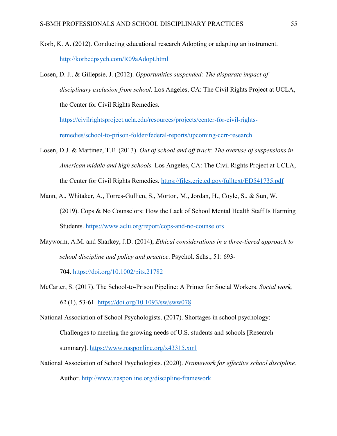- Korb, K. A. (2012). Conducting educational research Adopting or adapting an instrument. http://korbedpsych.com/R09aAdopt.html
- Losen, D. J., & Gillepsie, J. (2012). *Opportunities suspended: The disparate impact of disciplinary exclusion from school*. Los Angeles, CA: The Civil Rights Project at UCLA, the Center for Civil Rights Remedies.

https://civilrightsproject.ucla.edu/resources/projects/center-for-civil-rightsremedies/school-to-prison-folder/federal-reports/upcoming-ccrr-research

- Losen, D.J. & Martinez, T.E. (2013). *Out of school and off track: The overuse of suspensions in American middle and high schools.* Los Angeles, CA: The Civil Rights Project at UCLA, the Center for Civil Rights Remedies. https://files.eric.ed.gov/fulltext/ED541735.pdf
- Mann, A., Whitaker, A., Torres-Gullien, S., Morton, M., Jordan, H., Coyle, S., & Sun, W. (2019). Cops & No Counselors: How the Lack of School Mental Health Staff Is Harming Students. https://www.aclu.org/report/cops-and-no-counselors
- Mayworm, A.M. and Sharkey, J.D. (2014), *Ethical considerations in a three-tiered approach to school discipline and policy and practice*. Psychol. Schs., 51: 693-

704. https://doi.org/10.1002/pits.21782

- McCarter, S. (2017). The School-to-Prison Pipeline: A Primer for Social Workers. *Social work, 62* (1), 53-61. https://doi.org/10.1093/sw/sww078
- National Association of School Psychologists. (2017). Shortages in school psychology:

National Association of School Psychologists. (2020). *Framework for effective school discipline.* Author. http://www.nasponline.org/discipline-framework

Challenges to meeting the growing needs of U.S. students and schools [Research summary]. https://www.nasponline.org/x43315.xml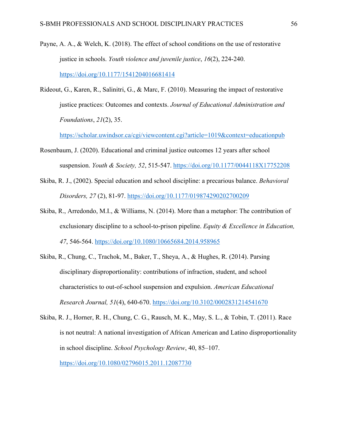- Payne, A. A., & Welch, K. (2018). The effect of school conditions on the use of restorative justice in schools. *Youth violence and juvenile justice*, *16*(2), 224-240. https://doi.org/10.1177/1541204016681414
- Rideout, G., Karen, R., Salinitri, G., & Marc, F. (2010). Measuring the impact of restorative justice practices: Outcomes and contexts. *Journal of Educational Administration and Foundations*, *21*(2), 35.

https://scholar.uwindsor.ca/cgi/viewcontent.cgi?article=1019&context=educationpub

- Rosenbaum, J. (2020). Educational and criminal justice outcomes 12 years after school suspension. *Youth & Society, 52*, 515-547. https://doi.org/10.1177/0044118X17752208
- Skiba, R. J., (2002). Special education and school discipline: a precarious balance. *Behavioral Disorders, 27* (2), 81-97. https://doi.org/10.1177/019874290202700209
- Skiba, R., Arredondo, M.I., & Williams, N. (2014). More than a metaphor: The contribution of exclusionary discipline to a school-to-prison pipeline. *Equity & Excellence in Education, 47*, 546-564. https://doi.org/10.1080/10665684.2014.958965
- Skiba, R., Chung, C., Trachok, M., Baker, T., Sheya, A., & Hughes, R. (2014). Parsing disciplinary disproportionality: contributions of infraction, student, and school characteristics to out-of-school suspension and expulsion. *American Educational Research Journal, 51*(4), 640-670. https://doi.org/10.3102/0002831214541670
- Skiba, R. J., Horner, R. H., Chung, C. G., Rausch, M. K., May, S. L., & Tobin, T. (2011). Race is not neutral: A national investigation of African American and Latino disproportionality in school discipline. *School Psychology Review*, 40, 85–107. https://doi.org/10.1080/02796015.2011.12087730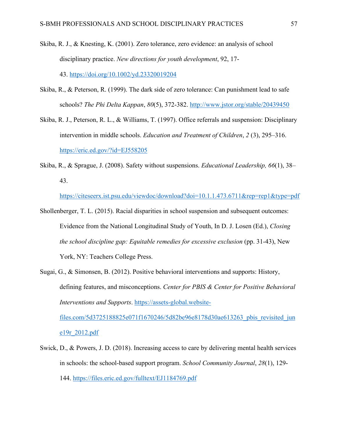- Skiba, R. J., & Knesting, K. (2001). Zero tolerance, zero evidence: an analysis of school disciplinary practice. *New directions for youth development*, 92, 17- 43. https://doi.org/10.1002/yd.23320019204
- Skiba, R., & Peterson, R. (1999). The dark side of zero tolerance: Can punishment lead to safe schools? *The Phi Delta Kappan*, *80*(5), 372-382. http://www.jstor.org/stable/20439450
- Skiba, R. J., Peterson, R. L., & Williams, T. (1997). Office referrals and suspension: Disciplinary intervention in middle schools. *Education and Treatment of Children*, *2* (3), 295–316. https://eric.ed.gov/?id=EJ558205
- Skiba, R., & Sprague, J. (2008). Safety without suspensions. *Educational Leadership, 66*(1), 38– 43.

https://citeseerx.ist.psu.edu/viewdoc/download?doi=10.1.1.473.6711&rep=rep1&type=pdf

- Shollenberger, T. L. (2015). Racial disparities in school suspension and subsequent outcomes: Evidence from the National Longitudinal Study of Youth, In D. J. Losen (Ed.), *Closing the school discipline gap: Equitable remedies for excessive exclusion* (pp. 31-43), New York, NY: Teachers College Press.
- Sugai, G., & Simonsen, B. (2012). Positive behavioral interventions and supports: History, defining features, and misconceptions. *Center for PBIS & Center for Positive Behavioral Interventions and Supports*. https://assets-global.website-

files.com/5d3725188825e071f1670246/5d82be96e8178d30ae613263\_pbis\_revisited\_jun e19r\_2012.pdf

Swick, D., & Powers, J. D. (2018). Increasing access to care by delivering mental health services in schools: the school-based support program. *School Community Journal*, *28*(1), 129- 144. https://files.eric.ed.gov/fulltext/EJ1184769.pdf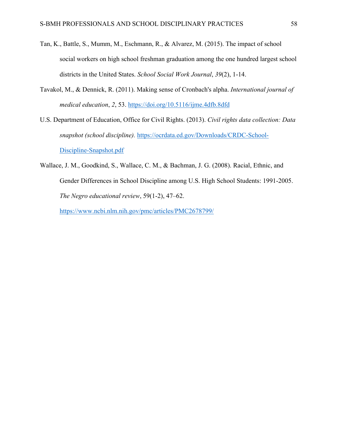- Tan, K., Battle, S., Mumm, M., Eschmann, R., & Alvarez, M. (2015). The impact of school social workers on high school freshman graduation among the one hundred largest school districts in the United States. *School Social Work Journal*, *39*(2), 1-14.
- Tavakol, M., & Dennick, R. (2011). Making sense of Cronbach's alpha. *International journal of medical education*, *2*, 53. https://doi.org/10.5116/ijme.4dfb.8dfd
- U.S. Department of Education, Office for Civil Rights. (2013). *Civil rights data collection: Data snapshot (school discipline).* https://ocrdata.ed.gov/Downloads/CRDC-School-Discipline-Snapshot.pdf
- Wallace, J. M., Goodkind, S., Wallace, C. M., & Bachman, J. G. (2008). Racial, Ethnic, and Gender Differences in School Discipline among U.S. High School Students: 1991-2005. *The Negro educational review*, 59(1-2), 47–62.

https://www.ncbi.nlm.nih.gov/pmc/articles/PMC2678799/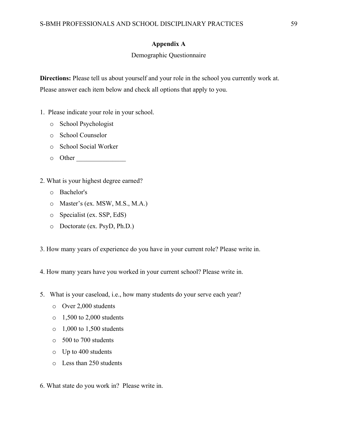### **Appendix A**

### Demographic Questionnaire

**Directions:** Please tell us about yourself and your role in the school you currently work at. Please answer each item below and check all options that apply to you.

- 1. Please indicate your role in your school.
	- o School Psychologist
	- o School Counselor
	- o School Social Worker
	- o Other \_\_\_\_\_\_\_\_\_\_\_\_\_\_\_
- 2. What is your highest degree earned?
	- o Bachelor's
	- o Master's (ex. MSW, M.S., M.A.)
	- o Specialist (ex. SSP, EdS)
	- o Doctorate (ex. PsyD, Ph.D.)
- 3. How many years of experience do you have in your current role? Please write in.
- 4. How many years have you worked in your current school? Please write in.
- 5. What is your caseload, i.e., how many students do your serve each year?
	- o Over 2,000 students
	- o 1,500 to 2,000 students
	- $\circ$  1,000 to 1,500 students
	- o 500 to 700 students
	- o Up to 400 students
	- o Less than 250 students
- 6. What state do you work in? Please write in.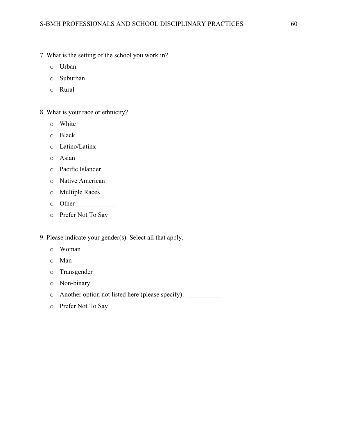- 7. What is the setting of the school you work in?
	- o Urban
	- o Suburban
	- o Rural
- 8. What is your race or ethnicity?
	- o White
	- o Black
	- o Latino/Latinx
	- o Asian
	- o Pacific Islander
	- o Native American
	- o Multiple Races
	- $\circ$  Other
	- o Prefer Not To Say

9. Please indicate your gender(s). Select all that apply.

- o Woman
- o Man
- o Transgender
- o Non-binary
- o Another option not listed here (please specify): \_\_\_\_\_\_\_\_\_\_
- o Prefer Not To Say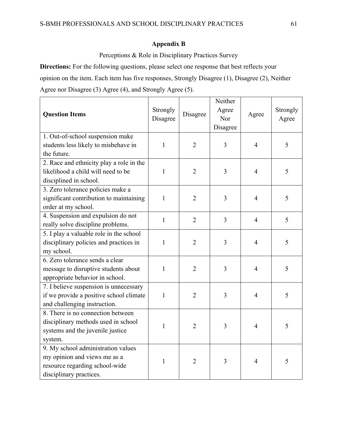## **Appendix B**

Perceptions & Role in Disciplinary Practices Survey

**Directions:** For the following questions, please select one response that best reflects your opinion on the item. Each item has five responses, Strongly Disagree (1), Disagree (2), Neither Agree nor Disagree (3) Agree (4), and Strongly Agree (5).

| <b>Question Items</b>                    | Strongly<br>Disagree | Disagree       | Neither<br>Agree<br>Nor<br>Disagree | Agree          | Strongly<br>Agree |
|------------------------------------------|----------------------|----------------|-------------------------------------|----------------|-------------------|
| 1. Out-of-school suspension make         |                      |                |                                     |                |                   |
| students less likely to misbehave in     | $\mathbf{1}$         | $\overline{2}$ | 3                                   | $\overline{4}$ | 5                 |
| the future.                              |                      |                |                                     |                |                   |
| 2. Race and ethnicity play a role in the |                      |                |                                     |                |                   |
| likelihood a child will need to be       | $\mathbf{1}$         | $\overline{2}$ | 3                                   | $\overline{4}$ | 5                 |
| disciplined in school.                   |                      |                |                                     |                |                   |
| 3. Zero tolerance policies make a        |                      |                |                                     |                |                   |
| significant contribution to maintaining  | $\mathbf{1}$         | $\overline{2}$ | 3                                   | $\overline{4}$ | 5                 |
| order at my school.                      |                      |                |                                     |                |                   |
| 4. Suspension and expulsion do not       | $\mathbf{1}$         | $\overline{2}$ | $\overline{3}$                      | $\overline{4}$ | 5                 |
| really solve discipline problems.        |                      |                |                                     |                |                   |
| 5. I play a valuable role in the school  |                      |                |                                     |                |                   |
| disciplinary policies and practices in   | $\mathbf{1}$         | $\overline{2}$ | 3                                   | $\overline{4}$ | 5                 |
| my school.                               |                      |                |                                     |                |                   |
| 6. Zero tolerance sends a clear          |                      |                |                                     |                |                   |
| message to disruptive students about     | $\mathbf{1}$         | $\overline{2}$ | 3                                   | $\overline{4}$ | 5                 |
| appropriate behavior in school.          |                      |                |                                     |                |                   |
| 7. I believe suspension is unnecessary   |                      |                |                                     |                |                   |
| if we provide a positive school climate  | $\mathbf{1}$         | $\overline{2}$ | 3                                   | $\overline{4}$ | 5                 |
| and challenging instruction.             |                      |                |                                     |                |                   |
| 8. There is no connection between        |                      |                |                                     |                |                   |
| disciplinary methods used in school      | $\mathbf{1}$         | $\overline{2}$ | 3                                   | $\overline{4}$ | 5                 |
| systems and the juvenile justice         |                      |                |                                     |                |                   |
| system.                                  |                      |                |                                     |                |                   |
| 9. My school administration values       |                      |                |                                     |                |                   |
| my opinion and views me as a             | 1                    | $\overline{2}$ | 3                                   | $\overline{4}$ | 5                 |
| resource regarding school-wide           |                      |                |                                     |                |                   |
| disciplinary practices.                  |                      |                |                                     |                |                   |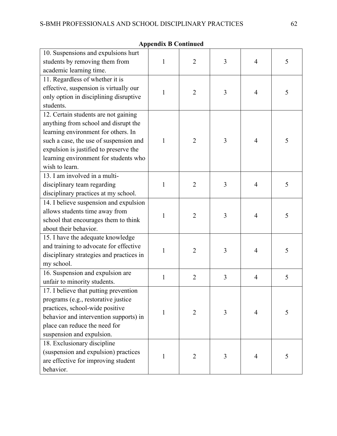| 10. Suspensions and expulsions hurt<br>students by removing them from<br>academic learning time.                                                                                                                                                                   | 1            | $\overline{2}$ | 3 | 4              | 5 |
|--------------------------------------------------------------------------------------------------------------------------------------------------------------------------------------------------------------------------------------------------------------------|--------------|----------------|---|----------------|---|
| 11. Regardless of whether it is<br>effective, suspension is virtually our<br>only option in disciplining disruptive<br>students.                                                                                                                                   | 1            | $\overline{2}$ | 3 | $\overline{4}$ | 5 |
| 12. Certain students are not gaining<br>anything from school and disrupt the<br>learning environment for others. In<br>such a case, the use of suspension and<br>expulsion is justified to preserve the<br>learning environment for students who<br>wish to learn. | 1            | 2              | 3 | 4              | 5 |
| 13. I am involved in a multi-<br>disciplinary team regarding<br>disciplinary practices at my school.                                                                                                                                                               | $\mathbf{1}$ | $\overline{2}$ | 3 | $\overline{4}$ | 5 |
| 14. I believe suspension and expulsion<br>allows students time away from<br>school that encourages them to think<br>about their behavior.                                                                                                                          | 1            | $\overline{2}$ | 3 | 4              | 5 |
| 15. I have the adequate knowledge<br>and training to advocate for effective<br>disciplinary strategies and practices in<br>my school.                                                                                                                              | 1            | $\overline{2}$ | 3 | 4              | 5 |
| 16. Suspension and expulsion are<br>unfair to minority students.                                                                                                                                                                                                   | 1            | $\overline{2}$ | 3 | $\overline{4}$ | 5 |
| 17. I believe that putting prevention<br>programs (e.g., restorative justice<br>practices, school-wide positive<br>behavior and intervention supports) in<br>place can reduce the need for<br>suspension and expulsion.                                            | 1            | $\overline{2}$ | 3 | 4              | 5 |
| 18. Exclusionary discipline<br>(suspension and expulsion) practices<br>are effective for improving student<br>behavior.                                                                                                                                            | $\mathbf{1}$ | $\overline{2}$ | 3 | 4              | 5 |

**Appendix B Continued**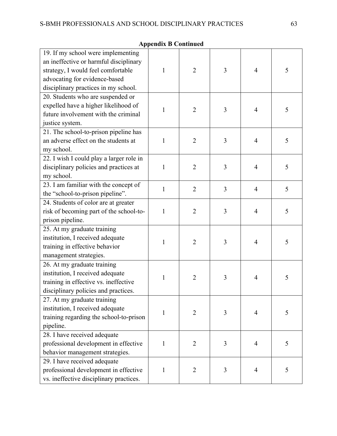| 19. If my school were implementing<br>an ineffective or harmful disciplinary<br>strategy, I would feel comfortable<br>advocating for evidence-based<br>disciplinary practices in my school. | 1            | $\overline{2}$ | 3              | 4              | 5 |
|---------------------------------------------------------------------------------------------------------------------------------------------------------------------------------------------|--------------|----------------|----------------|----------------|---|
| 20. Students who are suspended or<br>expelled have a higher likelihood of<br>future involvement with the criminal<br>justice system.                                                        | 1            | $\overline{2}$ | 3              | $\overline{4}$ | 5 |
| 21. The school-to-prison pipeline has<br>an adverse effect on the students at<br>my school.                                                                                                 | 1            | $\overline{2}$ | 3              | $\overline{4}$ | 5 |
| 22. I wish I could play a larger role in<br>disciplinary policies and practices at<br>my school.                                                                                            | 1            | $\overline{2}$ | 3              | $\overline{4}$ | 5 |
| 23. I am familiar with the concept of<br>the "school-to-prison pipeline".                                                                                                                   | $\mathbf{1}$ | $\overline{2}$ | $\overline{3}$ | $\overline{4}$ | 5 |
| 24. Students of color are at greater<br>risk of becoming part of the school-to-<br>prison pipeline.                                                                                         | $\mathbf{1}$ | $\overline{2}$ | 3              | $\overline{4}$ | 5 |
| 25. At my graduate training<br>institution, I received adequate<br>training in effective behavior<br>management strategies.                                                                 | 1            | $\overline{2}$ | 3              | $\overline{4}$ | 5 |
| 26. At my graduate training<br>institution, I received adequate<br>training in effective vs. ineffective<br>disciplinary policies and practices.                                            | 1            | $\overline{2}$ | 3              | $\overline{4}$ | 5 |
| 27. At my graduate training<br>institution, I received adequate<br>training regarding the school-to-prison<br>pipeline.                                                                     | 1            | $\overline{2}$ | $\overline{3}$ | $\overline{4}$ | 5 |
| 28. I have received adequate<br>professional development in effective<br>behavior management strategies.                                                                                    | $\mathbf{1}$ | $\overline{2}$ | 3              | $\overline{4}$ | 5 |
| 29. I have received adequate<br>professional development in effective<br>vs. ineffective disciplinary practices.                                                                            | $\mathbf{1}$ | $\overline{2}$ | 3              | $\overline{4}$ | 5 |

**Appendix B Continued**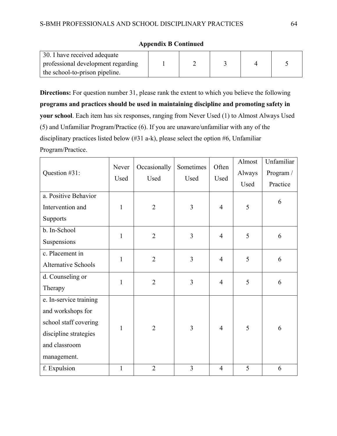| 30. I have received adequate       |  |  |  |
|------------------------------------|--|--|--|
| professional development regarding |  |  |  |
| the school-to-prison pipeline.     |  |  |  |

### **Appendix B Continued**

**Directions:** For question number 31, please rank the extent to which you believe the following **programs and practices should be used in maintaining discipline and promoting safety in your school**. Each item has six responses, ranging from Never Used (1) to Almost Always Used (5) and Unfamiliar Program/Practice (6). If you are unaware/unfamiliar with any of the disciplinary practices listed below (#31 a-k), please select the option #6, Unfamiliar Program/Practice.

| Question #31:                                                                                                                 | Never<br>Used | Occasionally<br>Used | Sometimes<br>Used | Often<br>Used  | Almost<br>Always<br>Used | Unfamiliar<br>Program /<br>Practice |
|-------------------------------------------------------------------------------------------------------------------------------|---------------|----------------------|-------------------|----------------|--------------------------|-------------------------------------|
| a. Positive Behavior<br>Intervention and<br>Supports                                                                          | 1             | $\overline{2}$       | 3                 | $\overline{4}$ | 5                        | 6                                   |
| b. In-School<br>Suspensions                                                                                                   | $\mathbf{1}$  | $\overline{2}$       | 3                 | $\overline{4}$ | 5                        | 6                                   |
| c. Placement in<br><b>Alternative Schools</b>                                                                                 | $\mathbf{1}$  | $\overline{2}$       | $\overline{3}$    | $\overline{4}$ | 5                        | 6                                   |
| d. Counseling or<br>Therapy                                                                                                   | $\mathbf{1}$  | $\overline{2}$       | $\overline{3}$    | $\overline{4}$ | 5                        | 6                                   |
| e. In-service training<br>and workshops for<br>school staff covering<br>discipline strategies<br>and classroom<br>management. | 1             | $\overline{2}$       | 3                 | $\overline{4}$ | 5                        | 6                                   |
| f. Expulsion                                                                                                                  | $\mathbf{1}$  | $\overline{2}$       | $\overline{3}$    | $\overline{4}$ | 5                        | 6                                   |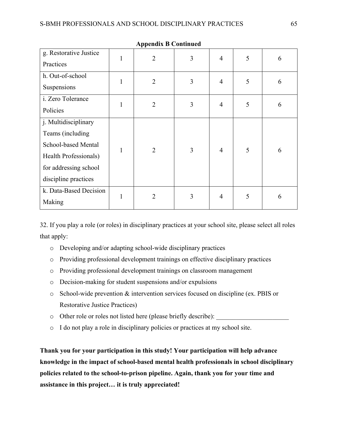|                                                                                                                                           |              | -17            |   |                |   |   |
|-------------------------------------------------------------------------------------------------------------------------------------------|--------------|----------------|---|----------------|---|---|
| g. Restorative Justice<br>Practices                                                                                                       | $\mathbf{1}$ | $\overline{2}$ | 3 | $\overline{4}$ | 5 | 6 |
| h. Out-of-school<br>Suspensions                                                                                                           | $\mathbf{1}$ | $\overline{2}$ | 3 | $\overline{4}$ | 5 | 6 |
| i. Zero Tolerance<br>Policies                                                                                                             | 1            | $\overline{2}$ | 3 | $\overline{4}$ | 5 | 6 |
| j. Multidisciplinary<br>Teams (including<br>School-based Mental<br>Health Professionals)<br>for addressing school<br>discipline practices | 1            | $\overline{2}$ | 3 | $\overline{4}$ | 5 | 6 |
| k. Data-Based Decision<br>Making                                                                                                          | 1            | $\overline{2}$ | 3 | $\overline{4}$ | 5 | 6 |

**Appendix B Continued**

32. If you play a role (or roles) in disciplinary practices at your school site, please select all roles that apply:

- o Developing and/or adapting school-wide disciplinary practices
- o Providing professional development trainings on effective disciplinary practices
- o Providing professional development trainings on classroom management
- o Decision-making for student suspensions and/or expulsions
- o School-wide prevention & intervention services focused on discipline (ex. PBIS or Restorative Justice Practices)
- o Other role or roles not listed here (please briefly describe):
- o I do not play a role in disciplinary policies or practices at my school site.

**Thank you for your participation in this study! Your participation will help advance knowledge in the impact of school-based mental health professionals in school disciplinary policies related to the school-to-prison pipeline. Again, thank you for your time and assistance in this project… it is truly appreciated!**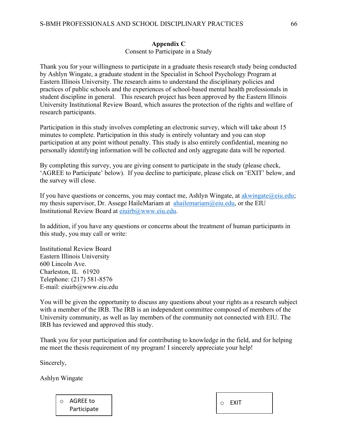# **Appendix C**

Consent to Participate in a Study

Thank you for your willingness to participate in a graduate thesis research study being conducted by Ashlyn Wingate, a graduate student in the Specialist in School Psychology Program at Eastern Illinois University. The research aims to understand the disciplinary policies and practices of public schools and the experiences of school-based mental health professionals in student discipline in general. This research project has been approved by the Eastern Illinois University Institutional Review Board, which assures the protection of the rights and welfare of research participants.

Participation in this study involves completing an electronic survey, which will take about 15 minutes to complete. Participation in this study is entirely voluntary and you can stop participation at any point without penalty. This study is also entirely confidential, meaning no personally identifying information will be collected and only aggregate data will be reported.

By completing this survey, you are giving consent to participate in the study (please check, 'AGREE to Participate' below). If you decline to participate, please click on 'EXIT' below, and the survey will close.

If you have questions or concerns, you may contact me, Ashlyn Wingate, at akwingate@eiu.edu; my thesis supervisor, Dr. Assege HaileMariam at  $ahailemarian@eiu.edu$ , or the EIU Institutional Review Board at eiuirb@www.eiu.edu.

In addition, if you have any questions or concerns about the treatment of human participants in this study, you may call or write:

Institutional Review Board Eastern Illinois University 600 Lincoln Ave. Charleston, IL 61920 Telephone: (217) 581-8576 E-mail: eiuirb@www.eiu.edu

You will be given the opportunity to discuss any questions about your rights as a research subject with a member of the IRB. The IRB is an independent committee composed of members of the University community, as well as lay members of the community not connected with EIU. The IRB has reviewed and approved this study.

Thank you for your participation and for contributing to knowledge in the field, and for helping me meet the thesis requirement of my program! I sincerely appreciate your help!

Sincerely,

Ashlyn Wingate

o AGREE to Participate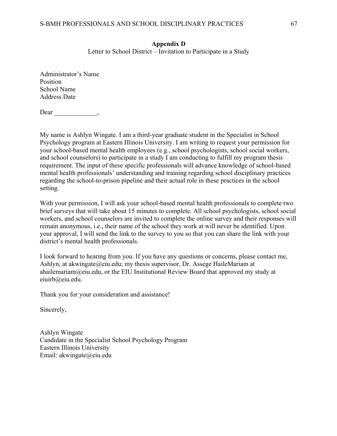### **Appendix D**

Letter to School District – Invitation to Participate in a Study

Administrator's Name Position School Name Address Date

 $Dear$  \_\_\_\_\_\_\_\_\_\_\_\_\_\_,

My name is Ashlyn Wingate. I am a third-year graduate student in the Specialist in School Psychology program at Eastern Illinois University. I am writing to request your permission for your school-based mental health employees (e.g., school psychologists, school social workers, and school counselors) to participate in a study I am conducting to fulfill my program thesis requirement. The input of these specific professionals will advance knowledge of school-based mental health professionals' understanding and training regarding school disciplinary practices regarding the school-to-prison pipeline and their actual role in these practices in the school setting.

With your permission, I will ask your school-based mental health professionals to complete two brief surveys that will take about 15 minutes to complete. All school psychologists, school social workers, and school counselors are invited to complete the online survey and their responses will remain anonymous, i.e., their name of the school they work at will never be identified. Upon your approval, I will send the link to the survey to you so that you can share the link with your district's mental health professionals.

I look forward to hearing from you. If you have any questions or concerns, please contact me, Ashlyn, at akwingate@eiu.edu; my thesis supervisor, Dr. Assege HaileMariam at ahailemariam@eiu.edu, or the EIU Institutional Review Board that approved my study at eiuirb@eiu.edu.

Thank you for your consideration and assistance!

Sincerely,

Ashlyn Wingate Candidate in the Specialist School Psychology Program Eastern Illinois University Email: akwingate@eiu.edu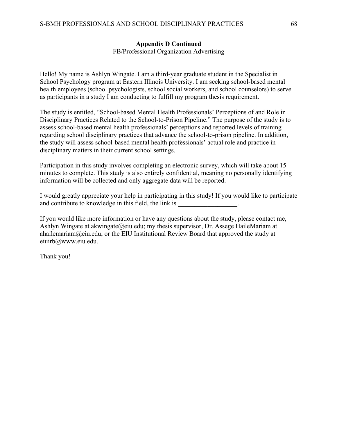### **Appendix D Continued**

FB/Professional Organization Advertising

Hello! My name is Ashlyn Wingate. I am a third-year graduate student in the Specialist in School Psychology program at Eastern Illinois University. I am seeking school-based mental health employees (school psychologists, school social workers, and school counselors) to serve as participants in a study I am conducting to fulfill my program thesis requirement.

The study is entitled, "School-based Mental Health Professionals' Perceptions of and Role in Disciplinary Practices Related to the School-to-Prison Pipeline." The purpose of the study is to assess school-based mental health professionals' perceptions and reported levels of training regarding school disciplinary practices that advance the school-to-prison pipeline. In addition, the study will assess school-based mental health professionals' actual role and practice in disciplinary matters in their current school settings.

Participation in this study involves completing an electronic survey, which will take about 15 minutes to complete. This study is also entirely confidential, meaning no personally identifying information will be collected and only aggregate data will be reported.

I would greatly appreciate your help in participating in this study! If you would like to participate and contribute to knowledge in this field, the link is

If you would like more information or have any questions about the study, please contact me, Ashlyn Wingate at akwingate@eiu.edu; my thesis supervisor, Dr. Assege HaileMariam at ahailemariam@eiu.edu, or the EIU Institutional Review Board that approved the study at eiuirb@www.eiu.edu.

Thank you!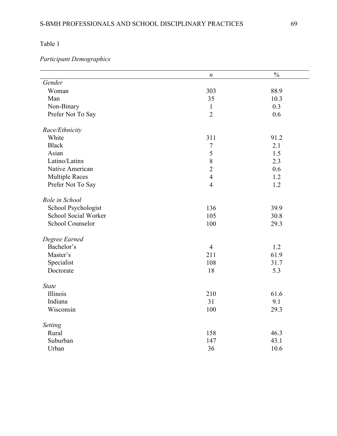Table 1

# *Participant Demographics*

|                       | $\boldsymbol{n}$ | $\frac{0}{0}$ |
|-----------------------|------------------|---------------|
| Gender                |                  |               |
| Woman                 | 303              | 88.9          |
| Man                   | 35               | 10.3          |
| Non-Binary            | $\mathbf{1}$     | 0.3           |
| Prefer Not To Say     | $\overline{2}$   | 0.6           |
| Race/Ethnicity        |                  |               |
| White                 | 311              | 91.2          |
| <b>Black</b>          | $\boldsymbol{7}$ | 2.1           |
| Asian                 | 5                | 1.5           |
| Latino/Latinx         | 8                | 2.3           |
| Native American       | $\overline{2}$   | 0.6           |
| <b>Multiple Races</b> | $\overline{4}$   | 1.2           |
| Prefer Not To Say     | $\overline{4}$   | 1.2           |
| Role in School        |                  |               |
| School Psychologist   | 136              | 39.9          |
| School Social Worker  | 105              | 30.8          |
| School Counselor      | 100              | 29.3          |
| Degree Earned         |                  |               |
| Bachelor's            | $\overline{4}$   | 1.2           |
| Master's              | 211              | 61.9          |
| Specialist            | 108              | 31.7          |
| Doctorate             | 18               | 5.3           |
| <b>State</b>          |                  |               |
| Illinois              | 210              | 61.6          |
| Indiana               | 31               | 9.1           |
| Wisconsin             | 100              | 29.3          |
| Setting               |                  |               |
| Rural                 | 158              | 46.3          |
| Suburban              | 147              | 43.1          |
| Urban                 | 36               | 10.6          |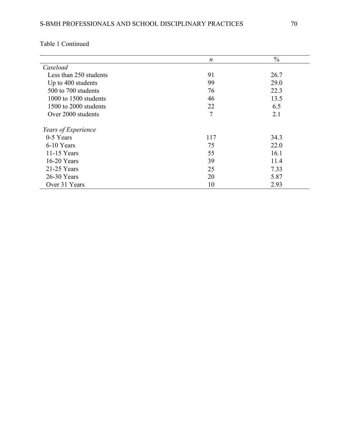|                        | $\boldsymbol{n}$ | $\frac{0}{0}$ |
|------------------------|------------------|---------------|
| Caseload               |                  |               |
| Less than 250 students | 91               | 26.7          |
| Up to 400 students     | 99               | 29.0          |
| 500 to 700 students    | 76               | 22.3          |
| 1000 to 1500 students  | 46               | 13.5          |
| 1500 to 2000 students  | 22               | 6.5           |
| Over 2000 students     | $\overline{7}$   | 2.1           |
| Years of Experience    |                  |               |
| 0-5 Years              | 117              | 34.3          |
| 6-10 Years             | 75               | 22.0          |
| $11-15$ Years          | 55               | 16.1          |
| $16-20$ Years          | 39               | 11.4          |
| $21-25$ Years          | 25               | 7.33          |
| 26-30 Years            | 20               | 5.87          |
| Over 31 Years          | 10               | 2.93          |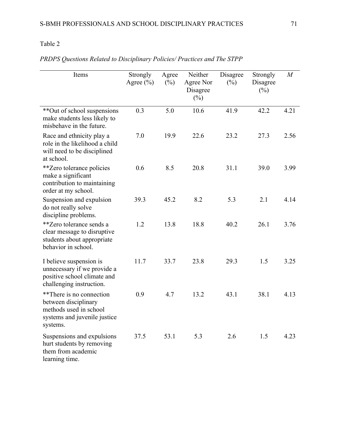# Table 2

| Items                                                                                                                  | Strongly<br>Agree $(\% )$ | Agree<br>$(\%)$ | Neither<br>Agree Nor<br>Disagree<br>$(\%)$ | Disagree<br>$(\%)$ | Strongly<br>Disagree<br>$(\%)$ | $\overline{M}$ |
|------------------------------------------------------------------------------------------------------------------------|---------------------------|-----------------|--------------------------------------------|--------------------|--------------------------------|----------------|
| **Out of school suspensions<br>make students less likely to<br>misbehave in the future.                                | 0.3                       | 5.0             | 10.6                                       | 41.9               | 42.2                           | 4.21           |
| Race and ethnicity play a<br>role in the likelihood a child<br>will need to be disciplined<br>at school.               | 7.0                       | 19.9            | 22.6                                       | 23.2               | 27.3                           | 2.56           |
| <i>**</i> Zero tolerance policies<br>make a significant<br>contribution to maintaining<br>order at my school.          | 0.6                       | 8.5             | 20.8                                       | 31.1               | 39.0                           | 3.99           |
| Suspension and expulsion<br>do not really solve<br>discipline problems.                                                | 39.3                      | 45.2            | 8.2                                        | 5.3                | 2.1                            | 4.14           |
| **Zero tolerance sends a<br>clear message to disruptive<br>students about appropriate<br>behavior in school.           | 1.2                       | 13.8            | 18.8                                       | 40.2               | 26.1                           | 3.76           |
| I believe suspension is<br>unnecessary if we provide a<br>positive school climate and<br>challenging instruction.      | 11.7                      | 33.7            | 23.8                                       | 29.3               | 1.5                            | 3.25           |
| **There is no connection<br>between disciplinary<br>methods used in school<br>systems and juvenile justice<br>systems. | 0.9                       | 4.7             | 13.2                                       | 43.1               | 38.1                           | 4.13           |
| Suspensions and expulsions<br>hurt students by removing<br>them from academic<br>learning time.                        | 37.5                      | 53.1            | 5.3                                        | 2.6                | 1.5                            | 4.23           |

*PRDPS Questions Related to Disciplinary Policies/ Practices and The STPP*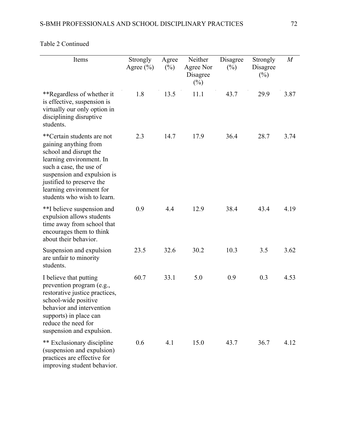| Items                                                                                                                                                                                                                                                       | Strongly<br>Agree $(\% )$ | Agree<br>$(\%)$ | Neither<br>Agree Nor<br>Disagree<br>$(\%)$ | Disagree<br>$(\%)$ | Strongly<br>Disagree<br>$(\%)$ | $\overline{M}$ |
|-------------------------------------------------------------------------------------------------------------------------------------------------------------------------------------------------------------------------------------------------------------|---------------------------|-----------------|--------------------------------------------|--------------------|--------------------------------|----------------|
| **Regardless of whether it<br>is effective, suspension is<br>virtually our only option in<br>disciplining disruptive<br>students.                                                                                                                           | 1.8                       | 13.5            | 11.1                                       | 43.7               | 29.9                           | 3.87           |
| **Certain students are not<br>gaining anything from<br>school and disrupt the<br>learning environment. In<br>such a case, the use of<br>suspension and expulsion is<br>justified to preserve the<br>learning environment for<br>students who wish to learn. | 2.3                       | 14.7            | 17.9                                       | 36.4               | 28.7                           | 3.74           |
| **I believe suspension and<br>expulsion allows students<br>time away from school that<br>encourages them to think<br>about their behavior.                                                                                                                  | 0.9                       | 4.4             | 12.9                                       | 38.4               | 43.4                           | 4.19           |
| Suspension and expulsion<br>are unfair to minority<br>students.                                                                                                                                                                                             | 23.5                      | 32.6            | 30.2                                       | 10.3               | 3.5                            | 3.62           |
| I believe that putting<br>prevention program (e.g.,<br>restorative justice practices,<br>school-wide positive<br>behavior and intervention<br>supports) in place can<br>reduce the need for<br>suspension and expulsion.                                    | 60.7                      | 33.1            | 5.0                                        | 0.9                | 0.3                            | 4.53           |
| ** Exclusionary discipline<br>(suspension and expulsion)<br>practices are effective for<br>improving student behavior.                                                                                                                                      | 0.6                       | 4.1             | 15.0                                       | 43.7               | 36.7                           | 4.12           |

## Table 2 Continued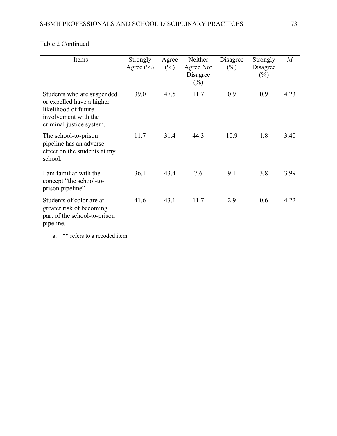| Items                                                                                                                               | Strongly<br>Agree $(\% )$ | Agree<br>$(\%)$ | Neither<br>Agree Nor<br>Disagree<br>$(\%)$ | Disagree<br>$(\%)$ | Strongly<br>Disagree<br>$(\%)$ | M    |
|-------------------------------------------------------------------------------------------------------------------------------------|---------------------------|-----------------|--------------------------------------------|--------------------|--------------------------------|------|
| Students who are suspended<br>or expelled have a higher<br>likelihood of future<br>involvement with the<br>criminal justice system. | 39.0                      | 47.5            | 11.7                                       | 0.9                | 0.9                            | 4.23 |
| The school-to-prison<br>pipeline has an adverse<br>effect on the students at my<br>school.                                          | 11.7                      | 31.4            | 44.3                                       | 10.9               | 1.8                            | 3.40 |
| I am familiar with the<br>concept "the school-to-<br>prison pipeline".                                                              | 36.1                      | 43.4            | 7.6                                        | 9.1                | 3.8                            | 3.99 |
| Students of color are at<br>greater risk of becoming<br>part of the school-to-prison<br>pipeline.                                   | 41.6                      | 43.1            | 11.7                                       | 2.9                | 0.6                            | 4.22 |

# Table 2 Continued

a. \*\* refers to a recoded item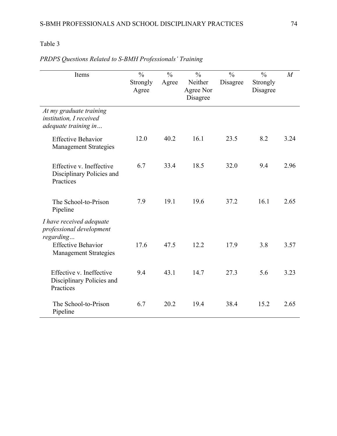| Items                                                                      | $\frac{0}{0}$<br>Strongly<br>Agree | $\frac{0}{0}$<br>Agree | $\frac{0}{0}$<br>Neither<br>Agree Nor<br>Disagree | $\frac{0}{0}$<br>Disagree | $\frac{0}{0}$<br>Strongly<br>Disagree | M    |
|----------------------------------------------------------------------------|------------------------------------|------------------------|---------------------------------------------------|---------------------------|---------------------------------------|------|
| At my graduate training<br>institution, I received<br>adequate training in |                                    |                        |                                                   |                           |                                       |      |
| <b>Effective Behavior</b><br><b>Management Strategies</b>                  | 12.0                               | 40.2                   | 16.1                                              | 23.5                      | 8.2                                   | 3.24 |
| Effective v. Ineffective<br>Disciplinary Policies and<br>Practices         | 6.7                                | 33.4                   | 18.5                                              | 32.0                      | 9.4                                   | 2.96 |
| The School-to-Prison<br>Pipeline                                           | 7.9                                | 19.1                   | 19.6                                              | 37.2                      | 16.1                                  | 2.65 |
| I have received adequate<br>professional development<br>regarding          |                                    |                        |                                                   |                           |                                       |      |
| <b>Effective Behavior</b><br><b>Management Strategies</b>                  | 17.6                               | 47.5                   | 12.2                                              | 17.9                      | 3.8                                   | 3.57 |
| Effective v. Ineffective<br>Disciplinary Policies and<br>Practices         | 9.4                                | 43.1                   | 14.7                                              | 27.3                      | 5.6                                   | 3.23 |
| The School-to-Prison<br>Pipeline                                           | 6.7                                | 20.2                   | 19.4                                              | 38.4                      | 15.2                                  | 2.65 |

# *PRDPS Questions Related to S-BMH Professionals' Training*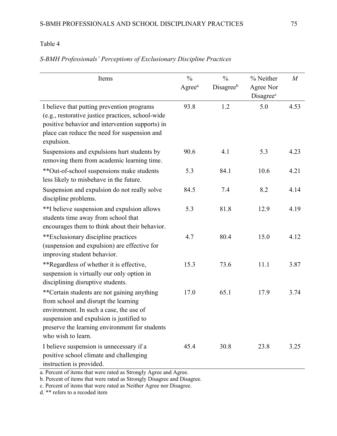| Items                                                                                                                                                                                                                                              | $\frac{0}{0}$<br>Agree <sup>a</sup> | $\frac{0}{0}$<br>Disagreeb | % Neither<br>Agree Nor<br>Disagree <sup>c</sup> | $\overline{M}$ |
|----------------------------------------------------------------------------------------------------------------------------------------------------------------------------------------------------------------------------------------------------|-------------------------------------|----------------------------|-------------------------------------------------|----------------|
| I believe that putting prevention programs<br>(e.g., restorative justice practices, school-wide<br>positive behavior and intervention supports) in<br>place can reduce the need for suspension and<br>expulsion.                                   | 93.8                                | 1.2                        | 5.0                                             | 4.53           |
| Suspensions and expulsions hurt students by<br>removing them from academic learning time.                                                                                                                                                          | 90.6                                | 4.1                        | 5.3                                             | 4.23           |
| **Out-of-school suspensions make students<br>less likely to misbehave in the future.                                                                                                                                                               | 5.3                                 | 84.1                       | 10.6                                            | 4.21           |
| Suspension and expulsion do not really solve<br>discipline problems.                                                                                                                                                                               | 84.5                                | 7.4                        | 8.2                                             | 4.14           |
| **I believe suspension and expulsion allows<br>students time away from school that<br>encourages them to think about their behavior.                                                                                                               | 5.3                                 | 81.8                       | 12.9                                            | 4.19           |
| **Exclusionary discipline practices<br>(suspension and expulsion) are effective for<br>improving student behavior.                                                                                                                                 | 4.7                                 | 80.4                       | 15.0                                            | 4.12           |
| **Regardless of whether it is effective,<br>suspension is virtually our only option in<br>disciplining disruptive students.                                                                                                                        | 15.3                                | 73.6                       | 11.1                                            | 3.87           |
| **Certain students are not gaining anything<br>from school and disrupt the learning<br>environment. In such a case, the use of<br>suspension and expulsion is justified to<br>preserve the learning environment for students<br>who wish to learn. | 17.0                                | 65.1                       | 17.9                                            | 3.74           |
| I believe suspension is unnecessary if a<br>positive school climate and challenging<br>instruction is provided.                                                                                                                                    | 45.4                                | 30.8                       | 23.8                                            | 3.25           |

## *S-BMH Professionals' Perceptions of Exclusionary Discipline Practices*

a. Percent of items that were rated as Strongly Agree and Agree.

b. Percent of items that were rated as Strongly Disagree and Disagree.

c. Percent of items that were rated as Neither Agree nor Disagree.

d. \*\* refers to a recoded item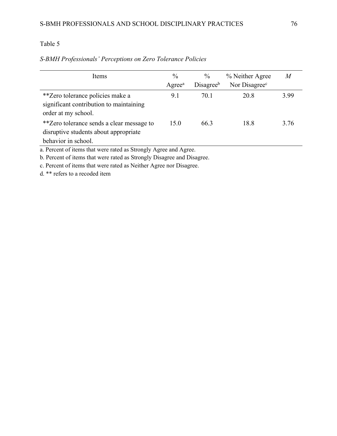| Items                                                                                                     | $\frac{0}{0}$<br>$A$ gree <sup>a</sup> | $\frac{0}{0}$<br>Disagree <sup>b</sup> | % Neither Agree<br>Nor Disagree <sup>c</sup> | $\overline{M}$ |  |  |
|-----------------------------------------------------------------------------------------------------------|----------------------------------------|----------------------------------------|----------------------------------------------|----------------|--|--|
| **Zero tolerance policies make a<br>significant contribution to maintaining<br>order at my school.        | 9.1                                    | 70.1                                   | 20.8                                         | 3.99           |  |  |
| **Zero tolerance sends a clear message to<br>disruptive students about appropriate<br>behavior in school. | 15.0                                   | 66.3                                   | 18.8                                         | 3.76           |  |  |
| a. Percent of items that were rated as Strongly Agree and Agree.                                          |                                        |                                        |                                              |                |  |  |

## *S-BMH Professionals' Perceptions on Zero Tolerance Policies*

b. Percent of items that were rated as Strongly Disagree and Disagree.

c. Percent of items that were rated as Neither Agree nor Disagree.

d. \*\* refers to a recoded item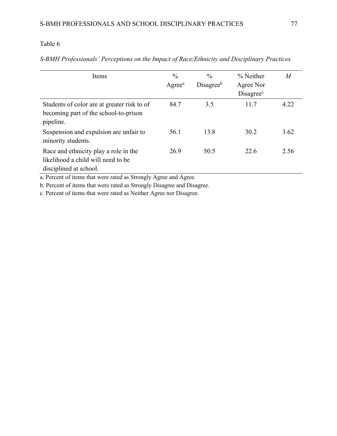| Items                                                                                                 | $\frac{0}{0}$<br>Agree <sup>a</sup> | $\frac{0}{0}$<br>Disagreeb | % Neither<br>Agree Nor<br>Disagree <sup>c</sup> | $\overline{M}$ |
|-------------------------------------------------------------------------------------------------------|-------------------------------------|----------------------------|-------------------------------------------------|----------------|
| Students of color are at greater risk to of<br>becoming part of the school-to-prison<br>pipeline.     | 84.7                                | 3.5                        | 11.7                                            | 4.22           |
| Suspension and expulsion are unfair to<br>minority students.                                          | 56.1                                | 13.8                       | 30.2                                            | 3.62           |
| Race and ethnicity play a role in the<br>likelihood a child will need to be<br>disciplined at school. | 26.9                                | 50.5                       | 22.6                                            | 2.56           |

## *S-BMH Professionals' Perceptions on the Impact of Race/Ethnicity and Disciplinary Practices*

a. Percent of items that were rated as Strongly Agree and Agree.

b. Percent of items that were rated as Strongly Disagree and Disagree.

c. Percent of items that were rated as Neither Agree nor Disagree.